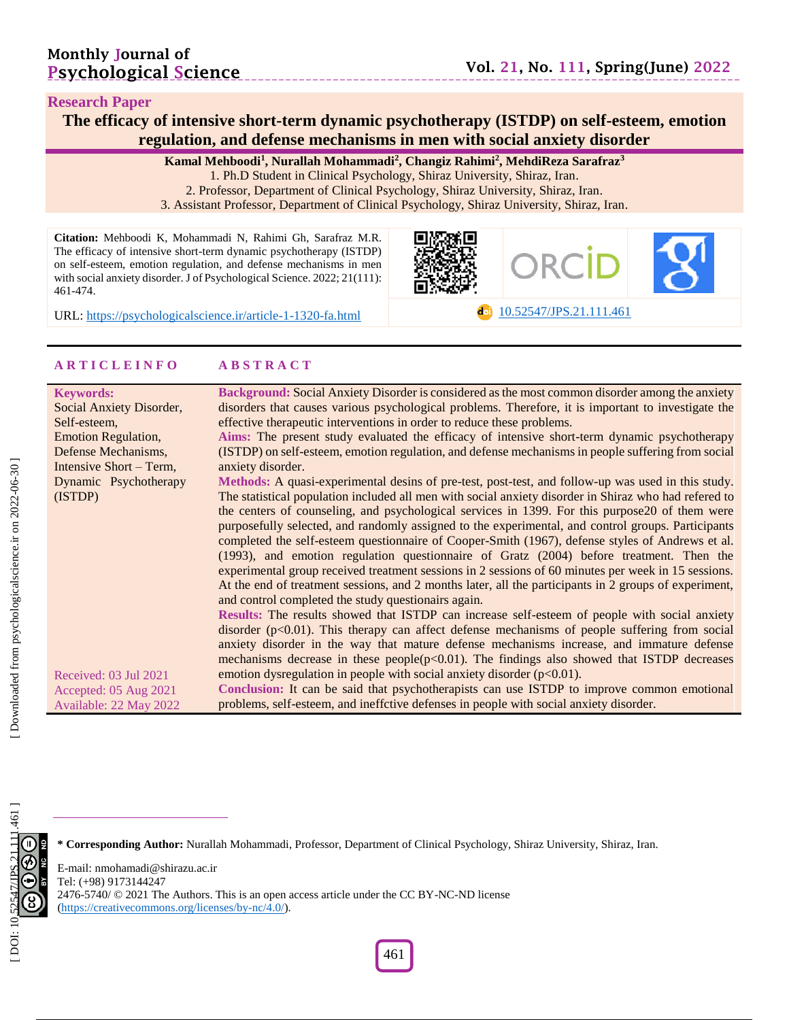#### **Research Paper**

The efficacy of intensive short-term dynamic psychotherapy (ISTDP) on self-esteem, emotion **regulation, and defense mechanisms in men with social anxiety disorder**

**Kamal Mehboodi 1 , Nurallah Mohammadi 2 , Changiz Rahimi 2 , MehdiReza Sarafraz 3**

- 1. Ph.D Student in Clinical Psychology, Shiraz University, Shiraz, Iran .
- 2. Professor, Department of Clinical Psychology, Shiraz University, Shiraz, Iran .
- 3. Assistant Professor, Department of Clinical Psychology, Shiraz University, Shiraz, Iran .

**Citation:** Mehboodi K, Mohammadi N, Rahimi Gh, Sarafraz M.R. The efficacy of intensive short -term dynamic psychotherapy (ISTDP) on self-esteem, emotion regulation, and defense mechanisms in men with social anxiety disorder. J of Psychological Science. 2022; 21(111): 461 -474 .





URL: [https://psychologicalscience.ir/article](https://psychologicalscience.ir/article-1-1320-fa.html)-1-1320

## **A R T I C L E I N F O A B S T R A C T**

| <b>Keywords:</b>           | Background: Social Anxiety Disorder is considered as the most common disorder among the anxiety       |
|----------------------------|-------------------------------------------------------------------------------------------------------|
| Social Anxiety Disorder,   | disorders that causes various psychological problems. Therefore, it is important to investigate the   |
| Self-esteem,               | effective therapeutic interventions in order to reduce these problems.                                |
| <b>Emotion Regulation,</b> | Aims: The present study evaluated the efficacy of intensive short-term dynamic psychotherapy          |
| Defense Mechanisms,        | (ISTDP) on self-esteem, emotion regulation, and defense mechanisms in people suffering from social    |
| Intensive Short – Term,    | anxiety disorder.                                                                                     |
| Dynamic Psychotherapy      | Methods: A quasi-experimental desins of pre-test, post-test, and follow-up was used in this study.    |
| (ISTDP)                    | The statistical population included all men with social anxiety disorder in Shiraz who had refered to |
|                            | the centers of counseling, and psychological services in 1399. For this purpose 20 of them were       |
|                            | purposefully selected, and randomly assigned to the experimental, and control groups. Participants    |
|                            | completed the self-esteem questionnaire of Cooper-Smith (1967), defense styles of Andrews et al.      |
|                            | (1993), and emotion regulation questionnaire of Gratz (2004) before treatment. Then the               |
|                            | experimental group received treatment sessions in 2 sessions of 60 minutes per week in 15 sessions.   |
|                            | At the end of treatment sessions, and 2 months later, all the participants in 2 groups of experiment, |
|                            | and control completed the study questionairs again.                                                   |
|                            | Results: The results showed that ISTDP can increase self-esteem of people with social anxiety         |
|                            | disorder $(p<0.01)$ . This therapy can affect defense mechanisms of people suffering from social      |
|                            | anxiety disorder in the way that mature defense mechanisms increase, and immature defense             |
|                            | mechanisms decrease in these people( $p<0.01$ ). The findings also showed that ISTDP decreases        |
| Received: 03 Jul 2021      | emotion dysregulation in people with social anxiety disorder $(p<0.01)$ .                             |
| Accepted: 05 Aug 2021      | Conclusion: It can be said that psychotherapists can use ISTDP to improve common emotional            |
| Available: 22 May 2022     | problems, self-esteem, and ineffctive defenses in people with social anxiety disorder.                |
|                            |                                                                                                       |

**\* Corresponding Author:** Nurallah Mohammadi , Professor, Department of Clinical Psychology, Shiraz University, Shiraz, Iran.

E -mail: nmohamadi@shirazu.ac.ir Tel: (+98) 9173144247 2476-5740/ © 2021 The Authors. This is an open access article under the CC BY-NC-ND license [\(https://creativecommons.org/licenses/by](https://creativecommons.org/licenses/by-nc/4.0/) -nc/4.0/).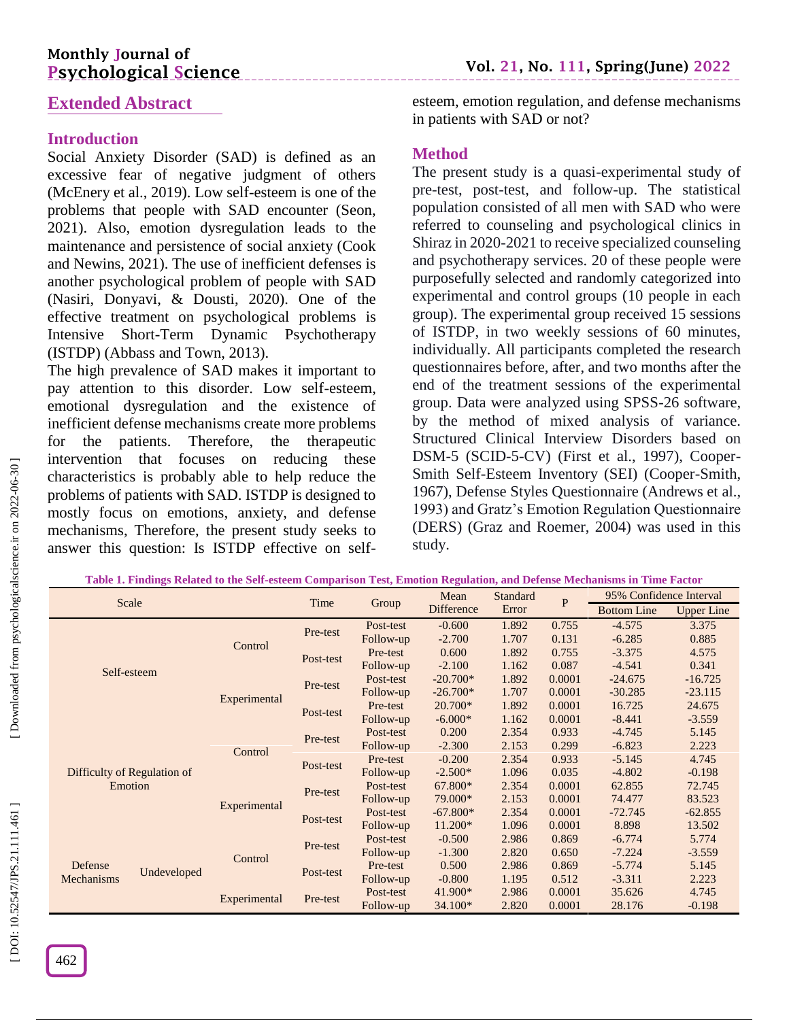# **Monthly Journal of Psychological Science**

# **Extended Abstract**

## **Introduction**

Social Anxiety Disorder (SAD) is defined as an excessive fear of negative judgment of others (McEnery et al., 2019). Low self-esteem is one of the problems that people with SAD encounter (Seon, 2021). Also, emotion dysregulation leads to the maintenance and persistence of social anxiety (Cook and Newins, 2021). The use of inefficient defenses is another psychological problem of people with SAD (Nasiri, Donyavi, & Dousti, 2020). One of the effective treatment on psychological problems is Intensive Short -Term Dynamic Psychotherapy (ISTDP) (Abbass and Town, 2013).

The high prevalence of SAD makes it important to pay attention to this disorder. Low self -esteem, emotional dysregulation and the existence of inefficient defense mechanisms create more problems for the patients. Therefore, the therapeutic intervention that focuses on reducing these characteristics is probably able to help reduce the problems of patients with SAD. ISTDP is designed to mostly focus on emotions, anxiety, and defense mechanisms, Therefore, the present study seeks to answer this question: Is ISTDP effective on self -

esteem, emotion regulation, and defense mechanisms in patients with SAD or not?

## **Method**

The present study is a quasi -experimental study of pre -test, post -test, and follow -up. The statistical population consisted of all men with SAD who were referred to counseling and psychological clinics in Shiraz in 2020 -2021 to receive specialized counseling and psychotherapy services. 20 of these people were purposefully selected and randomly categorized into experimental and control groups (10 people in each group). The experimental group received 15 sessions of ISTDP, in two weekly sessions of 60 minutes, individually. All participants completed the research questionnaires before, after, and two months after the end of the treatment sessions of the experimental group. Data were analyzed using SPSS -26 software, by the method of mixed analysis of variance. Structured Clinical Interview Disorders based on DSM-5 (SCID-5-CV) (First et al., 1997), Cooper-Smith Self-Esteem Inventory (SEI) (Cooper-Smith, 1967), Defense Styles Questionnaire (Andrews et al., 1993) and Gratz's Emotion Regulation Questionnaire (DERS) (Graz and Roemer, 2004) was used in this study.

|                             |             | галс 1. гипандз кениса 10 сне эси-сэксен соніратізон тезі, енюнон кеданиюн, ана бетспэс меснанізніз пі типе гасол | Time      |            | Mean       | Standard | $\mathbf{P}$ | 95% Confidence Interval |                   |
|-----------------------------|-------------|-------------------------------------------------------------------------------------------------------------------|-----------|------------|------------|----------|--------------|-------------------------|-------------------|
|                             | Scale       |                                                                                                                   |           | Group      | Difference | Error    |              | <b>Bottom Line</b>      | <b>Upper Line</b> |
|                             |             |                                                                                                                   | Pre-test  | Post-test  | $-0.600$   | 1.892    | 0.755        | $-4.575$                | 3.375             |
| Self-esteem                 | Control     |                                                                                                                   | Follow-up | $-2.700$   | 1.707      | 0.131    | $-6.285$     | 0.885                   |                   |
|                             |             | Post-test                                                                                                         | Pre-test  | 0.600      | 1.892      | 0.755    | $-3.375$     | 4.575                   |                   |
|                             |             |                                                                                                                   | Follow-up | $-2.100$   | 1.162      | 0.087    | $-4.541$     | 0.341                   |                   |
|                             |             | Pre-test                                                                                                          | Post-test | $-20.700*$ | 1.892      | 0.0001   | $-24.675$    | $-16.725$               |                   |
|                             |             | Experimental                                                                                                      |           | Follow-up  | $-26.700*$ | 1.707    | 0.0001       | $-30.285$               | $-23.115$         |
|                             |             |                                                                                                                   | Post-test | Pre-test   | 20.700*    | 1.892    | 0.0001       | 16.725                  | 24.675            |
|                             |             |                                                                                                                   |           | Follow-up  | $-6.000*$  | 1.162    | 0.0001       | $-8.441$                | $-3.559$          |
|                             |             | Control                                                                                                           | Pre-test  | Post-test  | 0.200      | 2.354    | 0.933        | $-4.745$                | 5.145             |
|                             | Follow-up   |                                                                                                                   |           | $-2.300$   | 2.153      | 0.299    | $-6.823$     | 2.223                   |                   |
|                             |             |                                                                                                                   | Post-test | Pre-test   | $-0.200$   | 2.354    | 0.933        | $-5.145$                | 4.745             |
| Difficulty of Regulation of |             |                                                                                                                   |           | Follow-up  | $-2.500*$  | 1.096    | 0.035        | $-4.802$                | $-0.198$          |
| Emotion                     |             |                                                                                                                   | Pre-test  | Post-test  | 67.800*    | 2.354    | 0.0001       | 62.855                  | 72.745            |
|                             |             | Experimental                                                                                                      |           | Follow-up  | 79.000*    | 2.153    | 0.0001       | 74.477                  | 83.523            |
|                             |             |                                                                                                                   | Post-test | Post-test  | $-67.800*$ | 2.354    | 0.0001       | $-72.745$               | $-62.855$         |
|                             |             |                                                                                                                   |           | Follow-up  | $11.200*$  | 1.096    | 0.0001       | 8.898                   | 13.502            |
|                             |             |                                                                                                                   | Pre-test  | Post-test  | $-0.500$   | 2.986    | 0.869        | $-6.774$                | 5.774             |
|                             |             | Control                                                                                                           |           | Follow-up  | $-1.300$   | 2.820    | 0.650        | $-7.224$                | $-3.559$          |
| Defense<br>Mechanisms       | Undeveloped |                                                                                                                   | Post-test | Pre-test   | 0.500      | 2.986    | 0.869        | $-5.774$                | 5.145             |
|                             |             |                                                                                                                   |           | Follow-up  | $-0.800$   | 1.195    | 0.512        | $-3.311$                | 2.223             |
|                             |             | Experimental                                                                                                      | Pre-test  | Post-test  | 41.900*    | 2.986    | 0.0001       | 35.626                  | 4.745             |
|                             |             |                                                                                                                   |           | Follow-up  | 34.100*    | 2.820    | 0.0001       | 28.176                  | $-0.198$          |

**Table 1. Findings Related to the Self -esteem Comparison Test, Emotion Regulation, and Defense Mechanisms in Time Factor**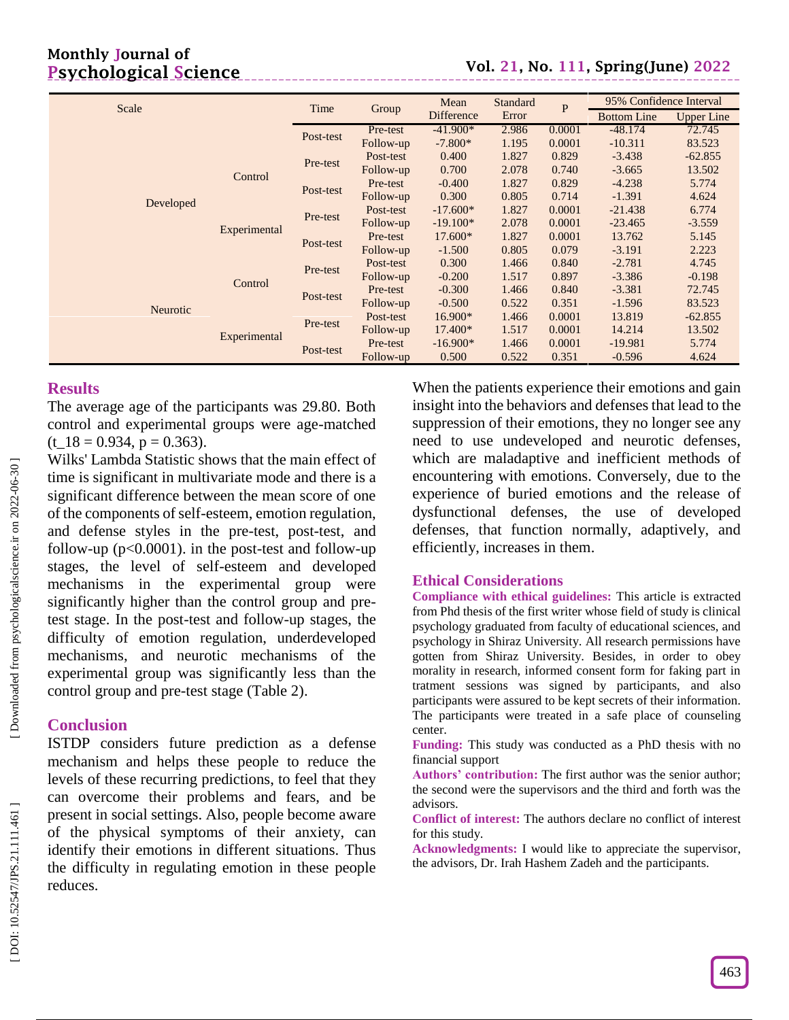|           |              | Time      | Group     | Mean       | Standard | P      | 95% Confidence Interval |                   |
|-----------|--------------|-----------|-----------|------------|----------|--------|-------------------------|-------------------|
| Scale     |              |           |           | Difference | Error    |        | <b>Bottom Line</b>      | <b>Upper Line</b> |
|           |              | Post-test | Pre-test  | $-41.900*$ | 2.986    | 0.0001 | $-48.174$               | 72.745            |
|           |              |           | Follow-up | $-7.800*$  | 1.195    | 0.0001 | $-10.311$               | 83.523            |
|           |              | Pre-test  | Post-test | 0.400      | 1.827    | 0.829  | $-3.438$                | $-62.855$         |
|           | Control      |           | Follow-up | 0.700      | 2.078    | 0.740  | $-3.665$                | 13.502            |
| Developed |              |           | Pre-test  | $-0.400$   | 1.827    | 0.829  | $-4.238$                | 5.774             |
|           |              | Post-test | Follow-up | 0.300      | 0.805    | 0.714  | $-1.391$                | 4.624             |
|           | Experimental | Pre-test  | Post-test | $-17.600*$ | 1.827    | 0.0001 | $-21.438$               | 6.774             |
|           |              |           | Follow-up | $-19.100*$ | 2.078    | 0.0001 | $-23.465$               | $-3.559$          |
|           |              | Post-test | Pre-test  | $17.600*$  | 1.827    | 0.0001 | 13.762                  | 5.145             |
|           |              |           | Follow-up | $-1.500$   | 0.805    | 0.079  | $-3.191$                | 2.223             |
|           | Control      | Pre-test  | Post-test | 0.300      | 1.466    | 0.840  | $-2.781$                | 4.745             |
|           |              |           | Follow-up | $-0.200$   | 1.517    | 0.897  | $-3.386$                | $-0.198$          |
|           |              | Post-test | Pre-test  | $-0.300$   | 1.466    | 0.840  | $-3.381$                | 72.745            |
| Neurotic  |              |           | Follow-up | $-0.500$   | 0.522    | 0.351  | $-1.596$                | 83.523            |
|           |              | Pre-test  | Post-test | 16.900*    | 1.466    | 0.0001 | 13.819                  | $-62.855$         |
|           |              |           | Follow-up | 17.400*    | 1.517    | 0.0001 | 14.214                  | 13.502            |
|           | Experimental |           | Pre-test  | $-16.900*$ | 1.466    | 0.0001 | $-19.981$               | 5.774             |
|           |              | Post-test | Follow-up | 0.500      | 0.522    | 0.351  | $-0.596$                | 4.624             |

## **Results**

The average age of the participants was 29.80. Both control and experimental groups were age -matched  $(t_1 18 = 0.934, p = 0.363).$ 

Wilks' Lambda Statistic shows that the main effect of time is significant in multivariate mode and there is a significant difference between the mean score of one of the components of self -esteem, emotion regulation, and defense styles in the pre -test, post -test, and follow-up ( $p<0.0001$ ). in the post-test and follow-up stages, the level of self-esteem and developed mechanisms in the experimental group were significantly higher than the control group and pre test stage. In the post -test and follow -up stages, the difficulty of emotion regulation, underdeveloped mechanisms, and neurotic mechanisms of the experimental group was significantly less than the control group and pre -test stage (Table 2).

## **Conclusion**

ISTDP considers future prediction as a defense mechanism and helps these people to reduce the levels of these recurring predictions, to feel that they can overcome their problems and fears, and be present in social settings. Also, people become aware of the physical symptoms of their anxiety, can identify their emotions in different situations. Thus the difficulty in regulating emotion in these people reduces.

When the patients experience their emotions and gain insight into the behaviors and defenses that lead to the suppression of their emotions, they no longer see any need to use undeveloped and neurotic defenses, which are maladaptive and inefficient methods of encountering with emotions. Conversely, due to the experience of buried emotions and the release of dysfunctional defenses, the use of developed defenses, that function normally, adaptively, and efficiently, increases in them .

## **Ethical Considerations**

**Compliance with ethical guidelines:** This article is extracted from Phd thesis of the first writer whose field of study is clinical psychology graduated from faculty of educational sciences, and psychology in Shiraz University. All research permissions have gotten from Shiraz University. Besides, in order to obey morality in research, informed consent form for faking part in tratment sessions was signed by participants, and also participants were assured to be kept secrets of their information. The participants were treated in a safe place of counseling center.

**Funding:** This study was conducted as a PhD thesis with no financial support

**Authors' contribution:** The first author was the senior author; the second were the supervisors and the third and forth was the advisors.

**Conflict of interest:** The authors declare no conflict of interest for this study.

**Acknowledgments:** I would like to appreciate the supervisor, the advisors, Dr. Irah Hashem Zadeh and the participants.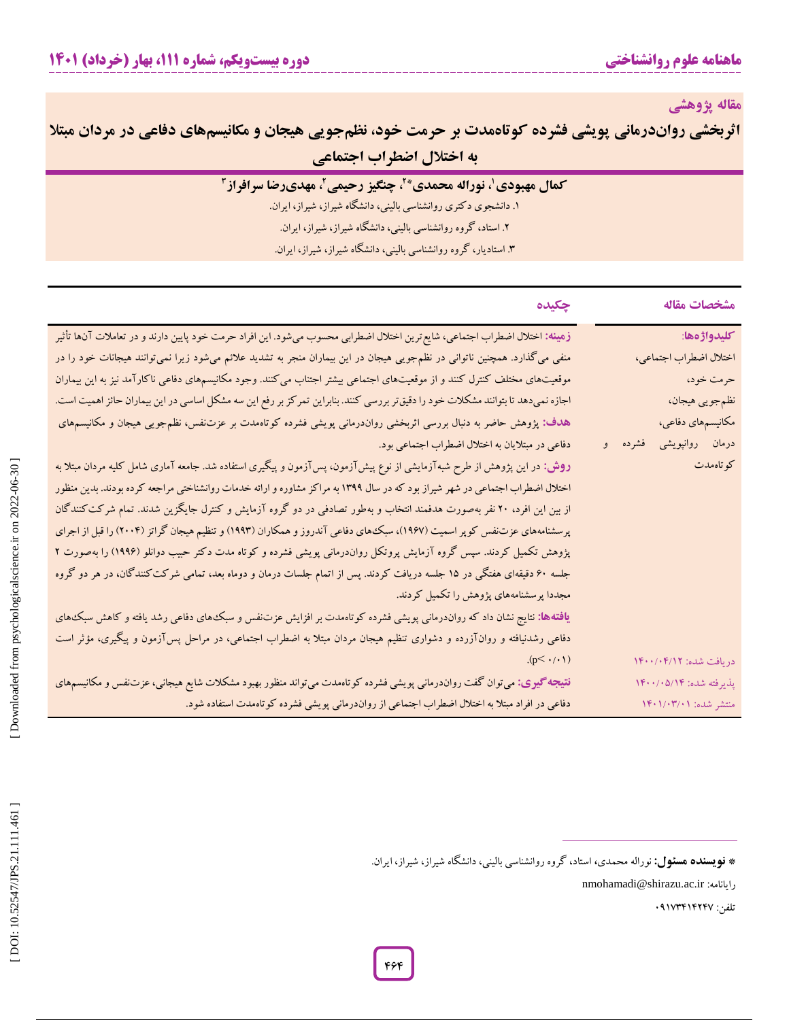**مقاله پژوهشی**

| <b>اثربخشی رواندرمانی پویشی فشرده کوتاهمدت بر حرمت خود، نظم جویی هیجان و مکانیسمهای دفاعی در مردان مبتلا</b> |                            |  |
|--------------------------------------------------------------------------------------------------------------|----------------------------|--|
|                                                                                                              | ً به اختلال اضطراب اجتماعی |  |

. دانشجوی دکتری روانشناسی بالینی، دانشگاه شیراز، شیراز، ایران. **<sup>3</sup>** .2 استاد، گروه روانشناسی بالینی، دانشگاه شیراز، شیراز، ایران. <sup>1</sup>

. استادیار، گروه روانشناسی بالینی، دانشگاه شیراز، شیراز، ایران. 3

| مشخصات مقاله               | چکیده                                                                                                                            |
|----------------------------|----------------------------------------------------------------------------------------------------------------------------------|
| كليدواژهها:                | زهینه: اختلال اضطراب اجتماعی، شایع ترین اختلال اضطرابی محسوب میشود. این افراد حرمت خود پایین دارند و در تعاملات آنها تأثیر       |
| اختلال اضطراب اجتماعي،     | منفی میگذارد. همچنین ناتوانی در نظمجویی هیجان در این بیماران منجر به تشدید علائم میشود زیرا نمیتوانند هیجانات خود را در          |
| حرمت خود،                  | موقعیتهای مختلف کنترل کنند و از موقعیتهای اجتماعی بیشتر اجتناب میکنند. وجود مکانیسمهای دفاعی ناکارآمد نیز به این بیماران         |
| نظم جويي هيجان،            | اجازه نمیدهد تا بتوانند مشکلات خود را دقیق تر بررسی کنند. بنابراین تمرکز بر رفع این سه مشکل اساسی در این بیماران حائز اهمیت است. |
| مکانیسمهای دفاعی،          | هدف: پژوهش حاضر به دنبال بررسی اثربخشی رواندرمانی پویشی فشرده کوتاهمدت بر عزتنفس، نظمٖجویی هیجان و مکانیسمهای                    |
| درمان روانپویشی<br>فشرده و | دفاعی در مبتلایان به اختلال اضطراب اجتماعی بود.                                                                                  |
| كوتاهمدت                   | <b>روش:</b> در این پژوهش از طرح شبهآزمایشی از نوع پیشآزمون، پسآزمون و پیگیری استفاده شد. جامعه آماری شامل کلیه مردان مبتلا به    |
|                            | اختلال اضطراب اجتماعی در شهر شیراز بود که در سال ۱۳۹۹ به مراکز مشاوره و ارائه خدمات روانشناختی مراجعه کرده بودند. بدین منظور     |
|                            | از بین این افرد، ۲۰ نفر بهصورت هدفمند انتخاب و بهطور تصادفی در دو گروه آزمایش و کنترل جایگزین شدند. تمام شرکت کنندگان            |
|                            | پرسشنامههای عزتنفس کوپر اسمیت (۱۹۶۷)، سبکههای دفاعی آندروز و همکاران (۱۹۹۳) و تنظیم هیجان گراتز (۲۰۰۴) را قبل از اجرای           |
|                            | پژوهش تکمیل کردند. سپس گروه آزمایش پروتکل رواندرمانی پویشی فشرده و کوتاه مدت دکتر حبیب دوانلو (۱۹۹۶) را بهصورت ۲                 |
|                            | جلسه ۶۰ دقیقهای هفتگی در ۱۵ جلسه دریافت کردند. پس از اتمام جلسات درمان و دوماه بعد، تمامی شرکت کنندگان، در هر دو گروه            |
|                            | مجددا پرسشنامههای پژوهش را تکمیل کردند.                                                                                          |
|                            | <b>یافتهها:</b> نتایج نشان داد که رواندرمانی پویشی فشرده کوتاهمدت بر افزایش عزتنفس و سبک های دفاعی رشد یافته و کاهش سبک های      |
|                            | دفاعی رشدنیافته و روانآزرده و دشواری تنظیم هیجان مردان مبتلا به اضطراب اجتماعی، در مراحل پسآزمون و پیگیری، مؤثر است              |
| دريافت شده: ١٤٠١/٢٠٠/٠۴    | $(p<\cdot/\cdot)$                                                                                                                |
| پذیرفته شده: ۱۴۰۰/۰۵/۱۴    | <b>نتیجه گیری:</b> میتوان گفت رواندرمانی پویشی فشرده کوتاهمدت میتواند منظور بهبود مشکلات شایع هیجانی، عزتنفس و مکانیسمهای        |
| منتشر شده: ۱۴۰۱/۰۳/۰۱      | دفاعی در افراد مبتلا به اختلال اضطراب اجتماعی از رواندرمانی پویشی فشرده کوتاهمدت استفاده شود.                                    |
|                            | * <b>نویسنده هسئول:</b> نوراله محمدی، استاد، گروه روانشناسی بالینی، دانشگاه شیراز، شیراز، ایران.                                 |

**<sup>\*</sup> فویسنده هسئول:** نوراله محمدی، استاد، گروه روانشناسی بالینی، دانشگاه شیراز، شیراز، ایران.

nmohamadi@shirazu.ac.ir :رایانامه

تلفن: 41173414247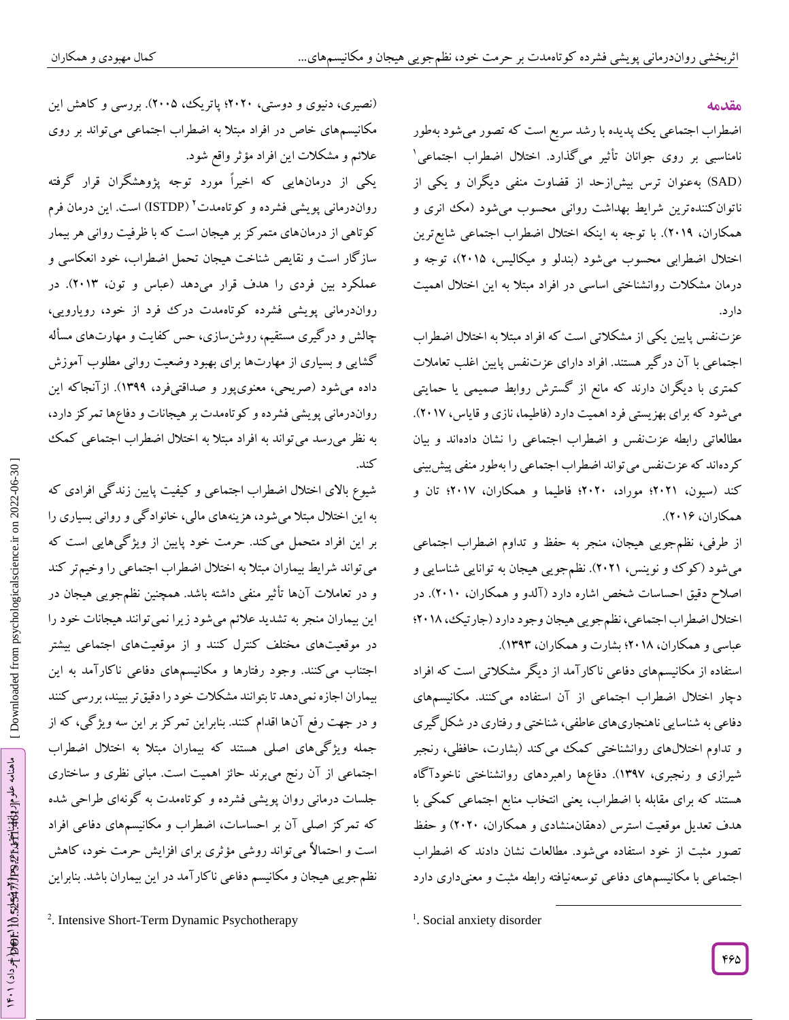### **مقدمه**

اضطراب اجتماعی یک پدیده با رشد سریع است که تصور میشود بهطور نامناسبی بر روی جوانان تأثیر میگذارد. اختالل اضطراب اجتماعی 1 SAD )بهعنوان ترس بیشازحد از قضاوت منفی دیگران و یکی از ( ناتوانکنندهترین شرایط بهداشت روانی محسوب میشود (مک انری و همکاران، 2411(. با توجه به اینکه اختالل اضطراب اجتماعی شایعترین اختالل اضطرابی محسوب میشود )بندلو و میکالیس، 2410(، توجه و درمان مشکلات روانشناختی اساسی در افراد مبتلا به این اختلال اهمیت<br>دارد.

عزتنفس پایین یکی از مشکلاتی است که افراد مبتلا به اختلال اضطراب اجتماعی با آن در کیر هستند. افراد دارای عزتنفس پایین اغلب تعاملات کمتری با دیگران دارند که مانع از گسترش روابط صمیمی یا حمایتی میشود که برای بهزیستی فرد اهمیت دارد )فاطیما، نازی و قایاس، 2417(. مطالعاتی رابطه عزتنفس و اضطراب اجتماعی را نشان دادهاند و بیان کردهاند که عزتنفس میتواند اضطراب اجتماعی را بهطور منفی پیشبینی کند )سیون، 2421؛ موراد، 2424؛ فاطیما و همکاران، 2417؛ تان و همکاران، 2416(.

از طرفی، نظمجویی هیجان، منجر به حفظ و تداوم اضطراب اجتماعی میشود (کوک و نوینس، ۲۰۲۱). نظم جویی هیجان به توانایی شناسایی و اصالح دقیق احساسات شخص اشاره دارد )آلدو و همکاران، 2414(. در اختالل اضطراب اجتماعی، نظمجویی هیجان وجود دارد )جارتیک، 2412؛ عباسی و همکاران، 2412؛ بشارت و همکاران، 1313(.

استفاده از مکانیسمهای دفاعی ناکار آمد از دیگر مشکلاتی است که افراد دچار اختلال اضطراب اجتماعی از آن استفاده می کنند. مکانیسمهای دفاعی به شناسایی ناهنجاریهای عاطفی، شناختی و رفتاری در شکل کیری و تداوم اختلالهای روانشناختی کمک می کند (بشارت، حافظی، رنجبر شیرازی و رنجبری، ۱۳۹۷). دفاعها راهبردهای روانشناختی ناخودا کاه هستند که برای مقابله با اضطراب، یعنی انتخاب منابع اجتماعی کمکی با هدف تعدیل موقعیت استرس (دهقان.نشادی و همکاران، ۲۰۲۰) و حفظ تصور مثبت از خود استفاده می شود. مطالعات نشان دادند که اضطراب اجتماعی با مکانیسمهای دفاعی توسعهنیافته رابطه مثبت و معنیداری دارد

 $\overline{\phantom{a}}$ 

(نصیری، دنیوی و دوستی، ۲۰۲۰؛ پاتریک، ۲۰۰۵). بررسی و کاهش این مکانیسمهای خاص در افراد مبتال به اضطراب اجتماعی میتواند بر روی

عالئم و مشکالت این افراد مؤثر واقع شود. یکی از درمانهایی که اخیراً مورد توجه پژوهشگران قرار گرفته رواندرمانی پویشی فشرده و کوتاهمدت<sup>۲</sup> (ISTDP) است. این درمان فرم کوتاهی از درمانهای متمرکز بر هیجان است که با ظرفیت روانی هر بیمار سازگار است و نقایص شناخت هیجان تحمل اضطراب، خود انعکاسی و عملکرد بین فردی را هدف قرار میدهد (عباس و تون، ۲۰۱۳). در<br>رواندرمانی پویشی فشرده کوتاهمدت درک فرد از خود، رویارویی، چالش و در کیری مستقیم، روشنسازی، حس کفایت و مهارتهای مساله کشایی و بسیاری از مهارتها برای بهبود وضعیت روانی مطلوب آموزش داده میشود )صریحی، معنویپور و صداقتیفرد، 1311(. ازآنجاکه این رواندرمانی پویشی فشرده و کوتاهمدت بر هیجانات و دفاعها تمرکز دارد، به نظر میرسد میتواند به افراد مبتال به اختالل اضطراب اجتماعی کمک کند.

شیوع باالی اختالل اضطراب اجتماعی و کیفیت پایین زندگی افرادی که به این اختلال مبتلا میشود، هزینههای مالی، خانواد کی و روانی بسیاری را بر این افراد متحمل می کند. حرمت خود پایین از ویژ گیهایی است که میتواند شرایط بیماران مبتال به اختالل اضطراب اجتماعی را وخیمتر کند و در تعامالت آنها تأثیر منفی داشته باشد. همچنین نظمجویی هیجان در این بیماران منجر به تشدید عالئم میشود زیرا نمیتوانند هیجانات خود را در موقعیتهای مختلف کنترل کنند و از موقعیتهای اجتماعی بیشتر اجتناب میکنند. وجود رفتارها و مکانیسمهای دفاعی ناکارآمد به این بیماران اجازه نمیدهد تا بتوانند مشکالت خود را دقیقتر ببیند، بررسی کنند و در جهت رفع آنها اقدام کنند. بنابراین تمرکز بر این سه ویژگی، که از جمله ویژگیهای اصلی هستند که بیماران مبتال به اختالل اضطراب اجتماعی از آن رنج میبرند حائز اهمیت است. مبانی نظری و ساختاری جلسات درمانی روان پویشی فشرده و کوتاهمدت به گونهای طراحی شده که تمرکز اصلی آن بر احساسات، اضطراب و مکانیسمهای دفاعی افراد است و احتماالٌ میتواند روشی مؤثری برای افزایش حرمت خود، کاهش 2 نظمجویی هیجان و مکانیسم دفاعی ناکارآمد در این بیماران باشد. بنابراین

<sup>&</sup>lt;sup>1</sup>. Social anxiety disorder

<sup>.</sup> Intensive Short -Term Dynamic Psychotherapy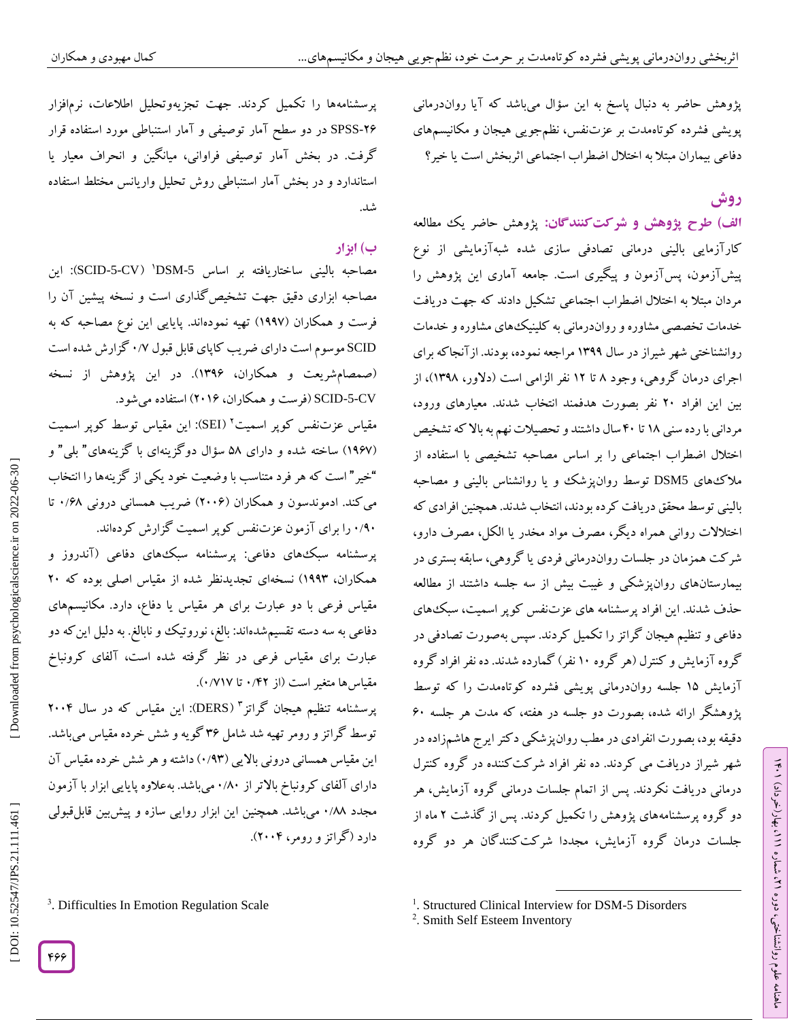پژوهش حاضر به دنبال پاسخ به این سؤال میباشد که آیا رواندرمانی پویشی فشرده کوتاهمدت بر عزتنفس، نظمجویی هیجان و مکانیسمهای<br>دفاعی بیماران مبتلا به اختلال اضطراب اجتماعی اثربخش است یا خیر؟

# **روش**

ラン

، بهار)خرداد( 111

، شماره 21

علوم روانشناختی، دوره ماهنامه

الف) طرح پژوهش و شرکت *ک*نندگان: پژوهش حاضر یک مطالعه کارآزمایی بالینی درمانی تصادفی سازی شده شبهآزمایشی از نوع پیش۱زمون، پس۱زمون و پیگیری است. جامعه اماری این پژوهش را مردان مبتلا به اختلال اضطراب اجتماعی تشکیل دادند که جهت دریافت خدمات تخصصی مشاوره و رواندرمانی به کلینیکهای مشاوره و خدمات روانشناختی شهر شیراز در سال ۱۳۹۹ مراجعه نموده، بودند. از آنجا که برای اجرای درمان کروهی، وجود ۸ تا ۱۲ نفر الزامی است (دلاور، ۱۳۹۸)، از بین این افراد ۲۰ نفر بصورت هدفمند انتخاب شدند. معیارهای ورود،<br>مردانی با رده سنی ۱۸ تا ۴۰ سال داشتند و تحصیلات نهم به بالا که تشخیص اختالل اضطراب اجتماعی را بر اساس مصاحبه تشخیصی با استفاده از ملاک های DSM5 توسط روانپزشک و یا روانشناس بالینی و مصاحبه بالینی توسط محقق دریافت کرده بودند، انتخاب شدند. همچنین افرادی که اختلالات روانی همراه دیگر، مصرف مواد مخدر یا الکل، مصرف دارو، شر کت همزمان در جلسات رواندرمانی فردی یا کروهی، سابقه بستری در بیمارستانهای روانپزشکی و غیبت بیش از سه جلسه داشتند از مطالعه حذف شدند. این افراد پرسشنامه های عزتنفس کوپر اسمیت، سبک های دفاعی و تنظیم هیجان کراتز را تکمیل کردند. سپس بهصورت تصادفی در گروه آزمایش و کنترل (هر گروه ۱۰ نفر) کمارده شدند. ده نفر افراد کروه آزمایش 10 جلسه رواندرمانی پویشی فشرده کوتاهمدت را که توسط پژوهشگر ارائه شده، بصورت دو جلسه در هفته، که مدت هر جلسه 64 دقیقه بود، بصورت انفرادی در مطب روانپزشکی د کتر ایرج هاشمزاده در شهر شیراز دریافت می کردند. ده نفر افراد شرکتکننده در گروه کنترل درمانی دریافت نکردند. پس از اتمام جلسات درمانی گروه آزمایش، هر دو کروه پرسشنامههای پژوهش را تکمیل کردند. پس از گدشت ۲ ماه از جلسات درمان گروه آزمایش، مجددا شرکتکنندگان هر دو گروه

پرسشنامهها را تکمیل کردند. جهت تجزیهوتحلیل اطالعات، نرمافزار مورد استفاده قرار و آمار استنباطی SPSS در دو سطح آمار توصیفی -26 گرفت. در بخش آمار توصیفی فراوانی، میانگین و انحراف معیار یا استاندارد و در بخش آمار استنباطی روش تحلیل واریانس مختلط استفاده شد.

# **ب( ابزار**

مصاحبه بالینی ساختاریافته بر اساس DSM-5' (SCID-5-CV): این مصاحبه ابزاری دقیق جهت تشخیص کداری است و نسخه پیشین آن را فرست و همکاران (۱۹۹۷) تهیه نمودهاند. پایایی این نوع مصاحبه که به SCID موسوم است دارای ضریب کاپای قابل قبول ۰/۷ گزارش شده است ۱۳۹۶). در این پژوهش از نسخه

SCID-5-CV (فرست و همکاران، ۲۰۱۶) استفاده میشود.<br>مقیاس عزتنفس کوپر اسمیت<sup>۲</sup> (SEI): این مقیاس توسط کوپر اسمیت (۱۹۶۷) ساخته شده و دارای ۵۸ سؤال دو گزینهای با گزینههای ً بلی ً و "خیر " است که هر فرد متناسب با وضعیت خود یکی از کزینهها را انتخاب می کند. ادموندسون و همکاران (۲۰۰۶) ضریب همسانی درونی ۰/۶۸ تا

۰/۹۰ را برای آزمون عزتنفس کوپر اسمیت کزارش کردهاند. پرسشنامه سبکههای دفاعی: پرسشنامه سبکههای دفاعی (آندروز و همکاران، ۱۹۹۳) نسخهای تجدیدنظر شده از مقیاس اصلی بوده که ۲۰ مقیاس فرعی با دو عبارت برای هر مقیاس یا دفاع، دارد. مکانیسمهای دفاعی به سه دسته تقسیم شدهاند: بالغ، نوروتیک و نابالغ. به دلیل این که دو مقیاس فرعی در نظر کرفته شده است، آلفای کرونباخ مقیاس ها متغیر است (از ۰/۴۲ تا ۰/۷۱۷).

پرسشنامه تنظیم هیجان گراتز<sup>۳</sup> (DERS): این مقیاس که در سال ۲۰۰۴ توسط کراتز و رومر تهیه شد شامل ۳۶ کویه و شش خرده مقیاس میباشد. این مقیاس همسانی درونی بالایی (۱۳۳) داشته و هر شش خرده مقیاس آن دارای آلفای کرونباخ بالاتر از ۰/۸۰میباشد. بهعلاوه پایایی ابزار با آزمون مجدد ۰/۸۸ میباشد. همچنین این ابزار روایی سازه و پیش بین قابل قبولی دارد )گراتز و رومر، 2444(.

<sup>3</sup>. Difficulties In Emotion Regulation Scale

<sup>2</sup>. Smith Self Esteem Inventory

 $\overline{\phantom{a}}$ <sup>1</sup>. Structured Clinical Interview for DSM-5 Disorders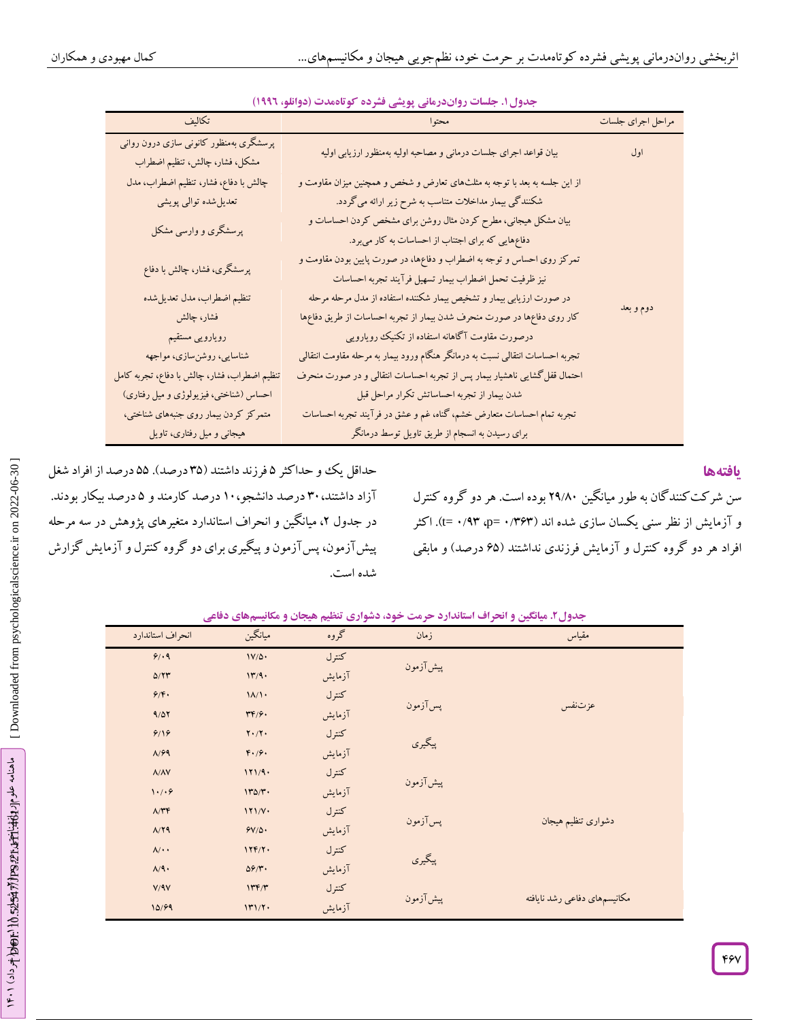| تكاليف                                                                   | محتوا                                                                                                                            | مراحل اجراي جلسات |
|--------------------------------------------------------------------------|----------------------------------------------------------------------------------------------------------------------------------|-------------------|
| پرسشگری بهمنظور کانونی سازی درون روانی<br>مشكل، فشار، چالش، تنظيم اضطراب | بیان قواعد اجرای جلسات درمانی و مصاحبه اولیه بهمنظور ارزیابی اولیه                                                               | اول               |
| چالش با دفاع، فشار، تنظیم اضطراب، مدل                                    | از این جلسه به بعد با توجه به مثلثهای تعارض و شخص و همچنین میزان مقاومت و                                                        |                   |
| تعدیل شده توالی پویشی                                                    | شکنندگی بیمار مداخلات متناسب به شرح زیر ارائه می گردد.                                                                           |                   |
| پرسشگری و وارسی مشکل                                                     | بیان مشکل هیجانی، مطرح کردن مثال روشن برای مشخص کردن احساسات و<br>دفاعهایی که برای اجتناب از احساسات به کار میبرد.               |                   |
| پرسشگری، فشار، چالش با دفاع                                              | تمرکز روی احساس و توجه به اضطراب و دفاعها، در صورت پایین بودن مقاومت و<br>نيز ظرفيت تحمل اضطراب بيمار تسهيل فرآيند تجربه احساسات |                   |
| تنظيم اضطراب، مدل تعديل شده                                              | در صورت ارزیابی بیمار و تشخیص بیمار شکننده استفاده از مدل مرحله مرحله                                                            |                   |
| فشار، چالش                                                               | کار روی دفاعها در صورت منحرف شدن بیمار از تجربه احساسات از طریق دفاعها                                                           | دوم و بعد         |
| رويارويى مستقيم                                                          | درصورت مقاومت آگاهانه استفاده از تکنیک رویارویی                                                                                  |                   |
| شناسایی، روشنسازی، مواجهه                                                | تجربه احساسات انتقالی نسبت به درمانگر هنگام ورود بیمار به مرحله مقاومت انتقالی                                                   |                   |
| تنظیم اضطراب، فشار، چالش با دفاع، تجربه کامل                             | احتمال قفل گشایی ناهشیار بیمار پس از تجربه احساسات انتقالی و در صورت منحرف                                                       |                   |
| احساس (شناختی، فیزیولوژی و میل رفتاری)                                   | شدن بیمار از تجربه احساساتش تکرار مراحل قبل                                                                                      |                   |
| متمرکز کردن بیمار روی جنبههای شناختی،                                    | تجربه تمام احساسات متعارض خشم، گناه، غم و عشق در فرآیند تجربه احساسات                                                            |                   |
| هیجانی و میل رفتاری، تاویل                                               | برای رسیدن به انسجام از طریق تاویل توسط درمانگر                                                                                  |                   |

## **. جلسات رواندرمانی پویشی فشرده کوتاهمدت )دوانلو، 1996( جدول1**

### **یافتهها**

سن شر کت کنند کان به طور میانگین ۲۹/۸۰ بوده است. هر دو کروه کنترل و آزمایش از نظر سنی یکسان سازی شده اند (۱۳۶۳ p= ۰/۳۶۳). اکثر افراد هر دو کروه کنترل و آزمایش فرزندی نداشتند (۶۵ درصد) و مابقی

حداقل یک و حدا کثر ۵ فرزند داشتند (۳۵ درصد). ۵۵ درصد از افراد شغل ازاد داشتند، ۳۰ درصد دانشجو، ۱۰ درصد کارمند و ۵ درصد بیکار بودند. در جدول ۲، میانگین و انحراف استاندارد متغیرهای پژوهش در سه مرحله پیش آزمون، پس آزمون و پیکیری برای دو کروه کنترل و آزمایش کزارش شده است.

### **مکانیسمهای دفاعی انحراف استاندارد حرمت خود، دشواری تنظیم هیجان و . میانگین و جدول2**

| انحراف استاندارد            | ميانگين                              | گروه   | زمان      | مقياس                        |
|-----------------------------|--------------------------------------|--------|-----------|------------------------------|
| 9/19                        | $1V/\Delta$                          | كنترل  | پیش آزمون |                              |
| $\Delta/77$                 | 17/9.                                | آزمايش |           |                              |
| 9/5.                        | $1/\sqrt{1}$                         | كنترل  |           |                              |
| 9/07                        | $\mathbf{r} \mathbf{r}/\mathbf{r}$ . | آزمايش | پسآزمون   | عزتنفس                       |
| 9/19                        | $Y \cdot / Y \cdot$                  | كنترل  |           |                              |
| A/F9                        | F.79.                                | آزمايش | پيگيري    |                              |
| $\Lambda/\Lambda\mathrm{V}$ | 171/9.                               | كنترل  |           |                              |
| 1.1.9                       | 170/T                                | آزمايش | پیشآزمون  |                              |
| $A/\tau$                    | 171/V                                | كنترل  |           |                              |
| A/Y                         | $9V/\Delta$                          | آزمايش | پسآزمون   | دشوارى تنظيم هيجان           |
| $\Lambda/\cdot\cdot$        | 17F/Y                                | كنترل  |           |                              |
| $\Lambda/9$ .               | $\Delta \mathcal{P}/\mathbf{r}$ .    | آزمايش | پيگيري    |                              |
| V/9V                        | 1797                                 | كنترل  |           |                              |
| 10/99                       | 171/7.                               | آزمايش | پیشآزمون  | مكانيسمهاى دفاعي رشد نايافته |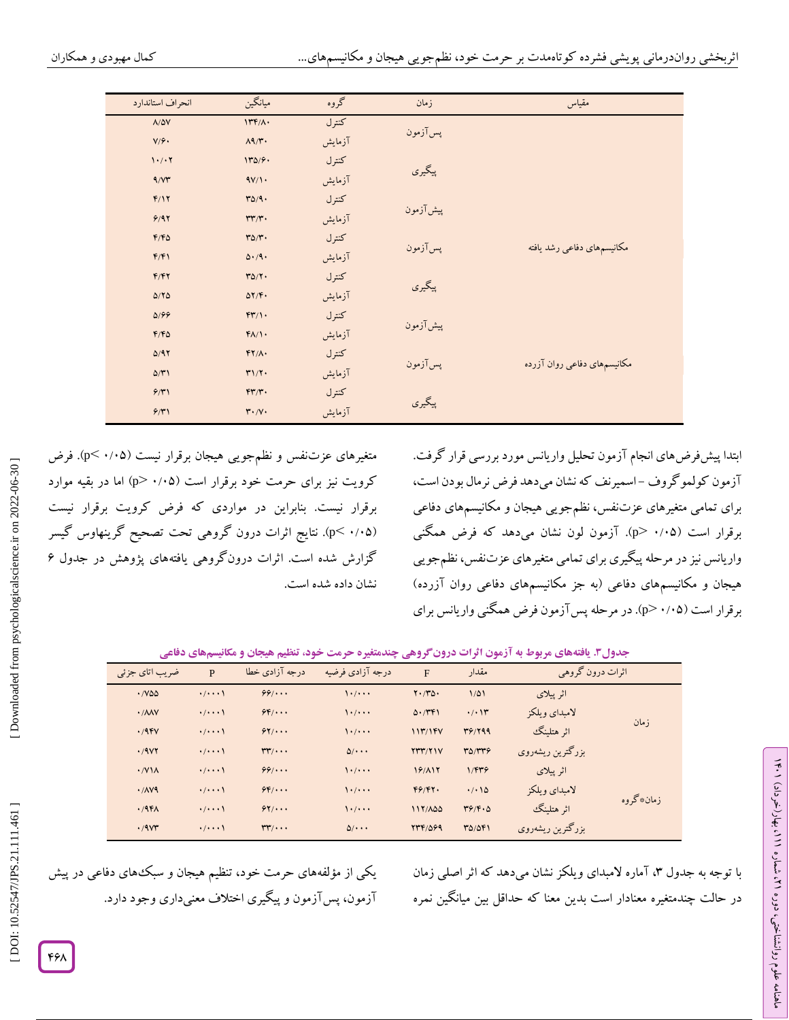| انحراف استاندارد        | ميانگين                             | گروه   | زمان      | مقياس                       |
|-------------------------|-------------------------------------|--------|-----------|-----------------------------|
| $\Lambda/\Delta V$      | $177/\lambda$                       | كنترل  | پسآزمون   |                             |
| $V/\hat{r}$             | $\Lambda$ 9/۳.                      | آزمايش |           |                             |
| 1.7.7                   | 170/9.                              | كنترل  |           |                             |
| 9/5                     | 4V/1                                | آزمايش | پيگيري    |                             |
| F/17                    | $T\Delta/9$ .                       | كنترل  |           |                             |
| 9/97                    | $\mathsf{r}\mathsf{r}/\mathsf{r}$ . | آزمايش | پیش آزمون |                             |
| $F/F\Delta$             | $r\Delta/\tau$ .                    | كنترل  |           |                             |
| F/F1                    | $\Delta \cdot / 9 \cdot$            | آزمايش | پسآزمون   | مكانيسمهاى دفاعي رشد يافته  |
| F/FY                    | $Y\Delta/Y$ .                       | كنترل  |           |                             |
| $\Delta/\Upsilon\Delta$ | $\Delta Y/\mathfrak{F}$ .           | آزمايش | پيگيري    |                             |
| $\Delta$ /99            | $FT/1$ .                            | كنترل  |           |                             |
| F/FQ                    | $f\Lambda/\Lambda$                  | آزمايش | پیش آزمون |                             |
| $\Delta$ /97            | $FY/\Lambda$                        | كنترل  |           |                             |
| $\Delta/\Upsilon$       | T1/T                                | آزمايش | پسآزمون   | مکانیسمهای دفاعی روان آزرده |
| 9/7                     | $FT/T$ .                            | كنترل  |           |                             |
| 9/7                     | $\mathbf{r} \cdot \mathbf{v} \cdot$ | آزمايش | پيگيري    |                             |

متغیرهای عزتنفس و نظمٖجویی هیجان برقرار نیست (۰/۰۵>). فرض کرویت نیز برای حرمت خود برقرار است (p> ۰/۰۵ اما در بقیه موارد برقرار نیست. بنابراین در مواردی که فرض کرویت برقرار نیست (۰/۰۵ >p). نتایج اثرات درون گروهی تحت تصحیح گرینهاوس گیسر گزارش شده است. اثرات درونگروهی یافتههای پژوهش در جدول 6 نشان داده شده است.

ابتدا پیشفرضهای انجام آزمون تحلیل واریانس مورد بررسی قرار گرفت. آزمون کولمو کروف –اسمیرنف که نشان میدهد فرض نرمال بودن است، برای تمامی متغیرهای عزتنفس، نظمجویی هیجان و مکانیسمهای دفاعی برقرار است (۰/۰۵ <p). آزمون لون نشان میدهد که فرض همگنی واریانس نیز در مرحله پیگیری برای تمامی متغیرهای عزتنفس، نظمجویی هیجان و مکانیسمهای دفاعی (به جز مکانیسمهای دفاعی روان آزرده) برقرار است (۰/۰۵–p>). در مرحله پس آزمون فرض همگنی واریانس برای

|  |  | جدول۳. یافتههای مربوط به آزمون اثرات درونگروهی چندمتغیره حرمت خود، تنظیم هیجان و مکانیسمهای دفاعی |  |  |
|--|--|---------------------------------------------------------------------------------------------------|--|--|
|--|--|---------------------------------------------------------------------------------------------------|--|--|

| ضر یب اتای جز ئی                   | P                       | درجه آزادی خطا | درجه آزادي فرضيه         | $\mathbf{F}$         | مقدار             | اثرات درون گروهي |           |
|------------------------------------|-------------------------|----------------|--------------------------|----------------------|-------------------|------------------|-----------|
| $\cdot$ / $\vee$ $\triangle$       | $\cdot/\cdot\cdot\cdot$ | $99/$          | 1.7                      | $Y \cdot / Y \Delta$ | $1/\Delta$        | اثر ييلاي        |           |
| $\cdot$ / $\wedge$ $\wedge$ $\vee$ | $\cdot/\cdot\cdot\cdot$ | $55$           | 1.7                      | 0.7491               | $\cdot$ / $\cdot$ | لامىداي ويلكز    |           |
| .79FV                              | $\cdot/\cdot\cdot\cdot$ | 97/            | 1.7                      | 117/15V              | 39/799            | اثر هتلينگ       | ز مان     |
| .79Y                               | $\cdot/\cdot\cdot\cdot$ | $rr$           | $\Delta/\cdot\cdot\cdot$ | Y''''/Y'             | $T\Delta/TT9$     | بزرگترین ریشهروی |           |
| $\cdot$ /V \ $\wedge$              | $\cdot/\cdot\cdot\cdot$ | $99/$          | $\mathcal{N}$            | 19/117               | 1/FY9             | اثر ييلاي        |           |
| .1119                              | $\cdot/\cdot\cdot\cdot$ | $9F/$          | 1.7                      | F9/FY.               | .7.10             | لامبداي ويلكز    |           |
| .45A                               | $\cdot/\cdot\cdot\cdot$ | 97/            | 1.7                      | 117/100              | 49/6.0            | اثر هتلينگ       | زمان*گروه |
| .79Y                               | $\cdot/\cdot\cdot\cdot$ | $rr$           | $\Delta/\cdot\cdot\cdot$ | 7741099              | 30/041            | بزرگترین ریشهروی |           |

از مؤلفههای حرمت خود، تنظیم هیجان و سبک های دفاعی در پیش آزمون، پسآزمون و پیگیری اختالف معنیداری وجود دارد. یکی

با توجه به جدول ۳، آماره لامبدای ویلکز نشان میدهد که اثر اصلی زمان در حالت چندمتغیره معنادار است بدین معنا که حداقل بین میانگین نمره ラン

، بهار)خرداد( 111

، شماره 21

علوم روانشناختی، دوره ماهنامه

۴۶۸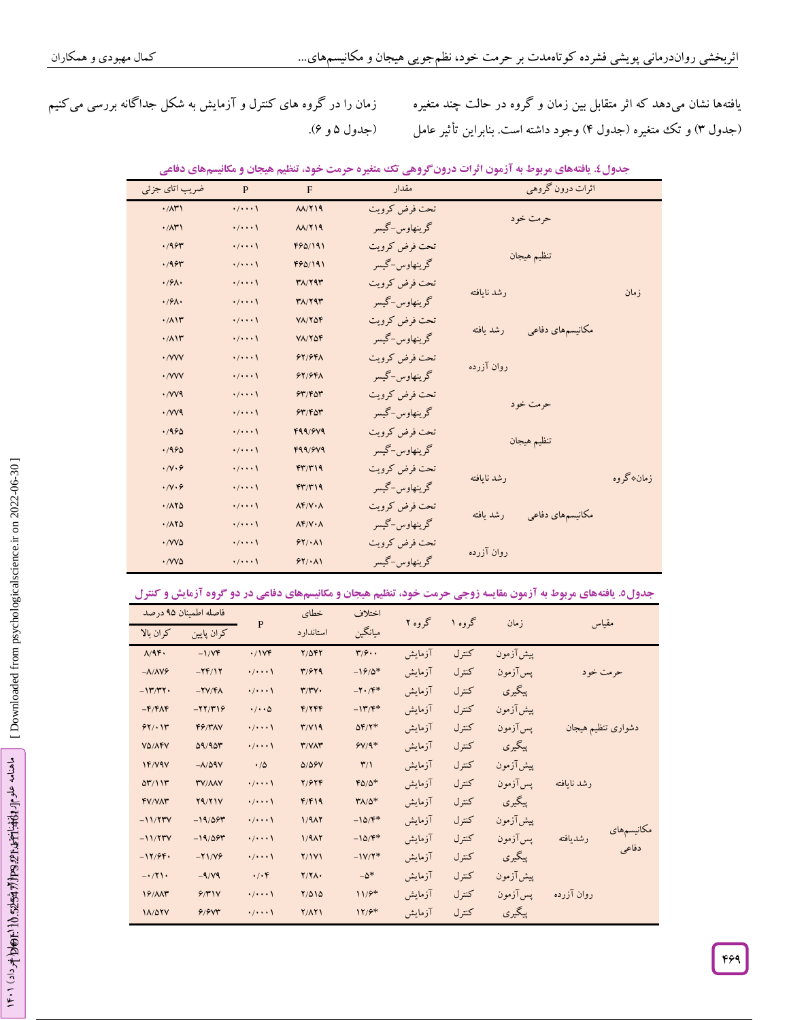زمان را در گروه های کنترل و آزمایش به شکل جداگانه بررسی میکنیم (جدول ۵ و ۶).

یافتهها نشان میدهد که اثر متقابل بین زمان و گروه در حالت چند متغیره (جدول ۳) و تک متغیره (جدول ۴) وجود داشته است. بنابراین تأثیر عامل

| ضریب اتای جزئی        | P                       | $\mathbf{F}$                    | مقدار         | اثرات درون گروهي              |           |
|-----------------------|-------------------------|---------------------------------|---------------|-------------------------------|-----------|
| $\cdot$ / $\wedge$ ۳) | $\cdot/\cdot\cdot\cdot$ | $\Lambda\Lambda/\Upsilon$ 19    | تحت فرض كرويت |                               |           |
| $\cdot$ / $\wedge$ ۳) | $\cdot/\cdot\cdot\cdot$ | $\Lambda\Lambda/\Upsilon$ 19    | گرينھاوس-گيسر | حرمت خود                      |           |
| .195                  | $\cdot/\cdot\cdot\cdot$ | 490/191                         | تحت فرض كرويت |                               |           |
| .195                  | $\cdot/\cdot\cdot\cdot$ | 490/191                         | گرينھاوس-گيسر | تنظيم هيجان                   |           |
| .94.                  | $\cdot/\cdot\cdot\cdot$ | $T\Lambda/T$ ۹۳                 | تحت فرض كرويت | رشد نابافته                   |           |
| .94.                  | $\cdot/\cdot\cdot\cdot$ | $T\Lambda/T$ ۹۳                 | گرينھاوس-گيسر |                               | ز مان     |
| .711                  | $\cdot/\cdot\cdot\cdot$ | $V\Lambda/Y\Delta \mathfrak{F}$ | تحت فرض كرويت |                               |           |
| .711                  | $\cdot/\cdot\cdot\cdot$ | $V$ $V$ $V$ $\Delta$ $F$        | گرينھاوس-گيسر | مکانیسمهای دفاعی<br>رشد يافته |           |
| $\cdot$ / $VVV$       | $\cdot/\cdot\cdot\cdot$ | 97/98A                          | تحت فرض كرويت |                               |           |
| $\cdot$ / $VVV$       | $\cdot/\cdot\cdot\cdot$ | 97/961                          | گرينھاوس-گيسر | روان آزرده                    |           |
| $\cdot$ / $V$ $V$ $9$ | $\cdot/\cdot\cdot\cdot$ | 54/160                          | تحت فرض كرويت |                               |           |
| $\cdot$ / $V$ $V$ $9$ | $\cdot/\cdot\cdot\cdot$ | 54/60                           | گرينھاوس-گيسر | حرمت خو د                     |           |
| .1990                 | $\cdot/\cdot\cdot\cdot$ | F99/9V9                         | تحت فرض كرويت |                               |           |
| .1990                 | $\cdot/\cdot\cdot\cdot$ | F99/9V9                         | گرينھاوس-گيسر | تنظيم هيجان                   |           |
| .74.9                 | $\cdot/\cdot\cdot\cdot$ | FT/T19                          | تحت فرض كرويت | , شد نا یافته                 | زمان*گروه |
| .74.9                 | $\cdot/\cdot\cdot\cdot$ | FT/T19                          | گرينھاوس-گيسر |                               |           |
| .118                  | $\cdot/\cdot\cdot\cdot$ | $\Lambda$ F/V $\cdot \Lambda$   | تحت فرض كرويت |                               |           |
| .718                  | $\cdot/\cdot\cdot\cdot$ | $\Lambda$ F/V $\cdot \Lambda$   | گرينھاوس-گيسر | مکانیسمهای دفاعی<br>رشد يافته |           |
| · /VVQ                | $\cdot/\cdot\cdot\cdot$ | 55/1.1                          | تحت فرض كرويت |                               |           |
| · /VVQ                | $\cdot/\cdot\cdot\cdot$ | $9Y/\cdot$ $\Lambda$            | گرينھاوس-گيسر | روان آزرده                    |           |

جدول£. یافتههای مربوط به آزمون اترات درونگروهی تک متغیره حرمت خود، تنظیم هیجان و مکانیسمهای دفاعی

|  | جدول٥. یافتههای مربوط به آزمون مقایسه زوجی حرمت خود، تنظیم هیجان و مکانیسمهای دفاعی در دو گروه آزمایش و کنترل |  |  |  |
|--|---------------------------------------------------------------------------------------------------------------|--|--|--|
|--|---------------------------------------------------------------------------------------------------------------|--|--|--|

|                      | فاصله اطمنان ۹۵ درصد    |                          | خطاى               | اختلاف                    | گروه ۲ | گروه ۱ | زمان      | مقياس                           |
|----------------------|-------------------------|--------------------------|--------------------|---------------------------|--------|--------|-----------|---------------------------------|
| كران ىالا            | كران پايين              | $\mathbf P$              | استاندار د         | ميانگين                   |        |        |           |                                 |
| $\Lambda/9$ .        | $-1/VF$                 | .1Vf                     | $Y/\Delta fY$      | $\mathbf{r}/\mathbf{r}$ . | آزمايش | كنترل  | پیشآزمون  |                                 |
| $-\lambda/\lambda V$ | $-YF/Y$                 | $\cdot/\cdot\cdot\cdot$  | 31979              | $-19/0*$                  | آزمايش | كنترل  | پسآزمون   | حرمت خو د                       |
| $-117/T1$            | $-YV/F\Lambda$          | $\cdot/\cdot\cdot\cdot$  | r/rv.              | $-Y \cdot /F^*$           | آزمايش | كنترل  | پيگيري    |                                 |
| $-F/F\Lambda F$      | $-77/79$                | $\cdot/\cdot\cdot\Delta$ | F/ Y F F           | $-147$                    | آزمايش | كنترل  | پیش آزمون |                                 |
| 97/11                | F/KN                    | $\cdot/\cdot\cdot\cdot$  | $T/Y$ 19           | $\Delta F/Y^*$            | آزمايش | كنترل  | يس آزمون  | دشوارى تنظيم هيجان              |
| VO/AFV               | 09/900                  | $\cdot/\cdot\cdot\cdot$  | T/VMT              | $9Y/9*$                   | آزمايش | كنترل  | پيگيري    |                                 |
| 1F/Y4V               | $-\lambda/\Delta$ 9 $V$ | $\cdot/\Delta$           | <b>D/DGV</b>       | $\mathbf{r}/\mathbf{1}$   | آزمايش | كنترل  | پیش آزمون |                                 |
| 07/117               | <b><i>TV/AAV</i></b>    | $\cdot/\cdot\cdot\cdot$  | 7/974              | $FO/O^*$                  | آزمايش | كنترل  | پس آزمون  | رشد نايافته                     |
| FV/VAT               | Y9/Y1V                  | $\cdot/\cdot\cdot\cdot$  | F/F19              | $Y/\Delta^*$              | آزمايش | كنترل  | پيگيري    |                                 |
| $-11/7$ ۳V           | $-19/09$                | $\cdot/\cdot\cdot\cdot$  | 1/9AY              | $-10/F$ *                 | آزمايش | كنترل  | پیش آزمون |                                 |
| $-11/7$ TV           | $-19/09$                | $\cdot/\cdot\cdot\cdot$  | 1/9AY              | $-10/F$ *                 | آزمايش | كنترل  | پسآزمون   | مكانيسمهاى<br>رشديافته<br>دفاعی |
| $-17/99.$            | $-Y1/Y9$                | $\cdot/\cdot\cdot\cdot$  | Y/1V1              | $-1V/Y^*$                 | آزمايش | كنترل  | پيگيري    |                                 |
| $-1/7$               | $-9/4$                  | $\cdot/\cdot f$          | $Y/Y\Lambda$       | $-\Delta^*$               | آزمايش | كنترل  | پیشآزمون  |                                 |
| 19/NN                | 9/7'                    | $\cdot/\cdot\cdot\cdot$  | $Y/\Delta 1\Delta$ | $11/9*$                   | آزمايش | كنترل  | پس آزمون  | روان آزرده                      |
| 11/077               | 9/90                    | $\cdot/\cdot\cdot\cdot$  | Y/AY               | $17/9*$                   | آزمايش | كنتر ل | پيگيري    |                                 |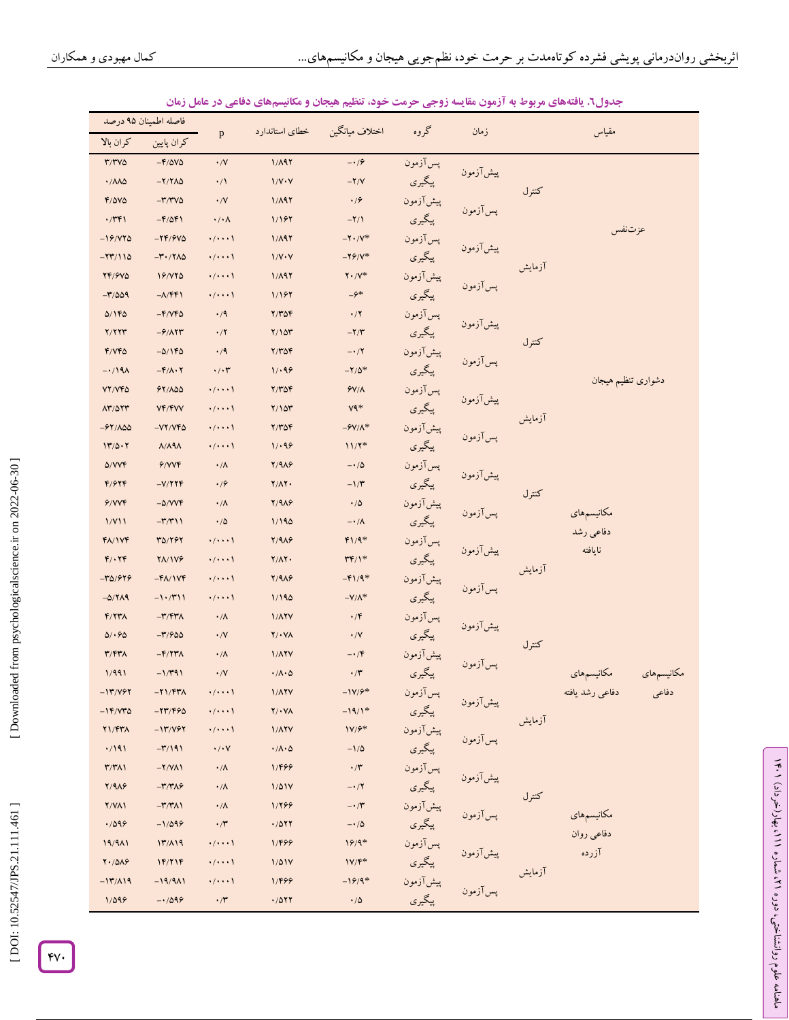| فاصله اطمينان ٩٥ درصد             |                                                |                         | خطاى استاندارد                                                | اختلاف ميانگين                       | گروه      |               |        |                          |
|-----------------------------------|------------------------------------------------|-------------------------|---------------------------------------------------------------|--------------------------------------|-----------|---------------|--------|--------------------------|
| كران بالا                         | كران پايين                                     | $\mathbf{p}$            |                                                               |                                      |           | زمان          |        | مقياس                    |
| $T/TV\Delta$                      | $-F/\Delta V\Delta$                            | $\cdot$ /V              | 1/A97                                                         | $-19$                                | پس آزمون  |               |        |                          |
| $\cdot/\lambda\lambda\Delta$      | $-Y/Y\Lambda\Delta$                            | $\cdot/1$               | $1/V \cdot V$                                                 | $-Y/V$                               | پيگيري    | پیش آزمون     | كنترل  |                          |
| $F/\Delta V\Delta$                | $-\mathbf{r}/\mathbf{r}$ va                    | $\cdot$ /V              | 1/A97                                                         | $\cdot$ / $\epsilon$                 | پیشآزمون  |               |        |                          |
| $\cdot$ /٣۴١                      | $-F/\Delta F$                                  | $\cdot/\cdot \wedge$    | 1/197                                                         | $-Y/1$                               | پيگيري    | پسآزمون       |        |                          |
| $-19/170$                         | $-YF/FV\Delta$                                 | $\cdot/\cdot\cdot\cdot$ | 1/A97                                                         | $-Y \cdot /V^*$                      | پسآزمون   |               |        | عزتنفس                   |
| $-YY/110$                         | $-\mathbf{r} \cdot / \mathbf{Y} \wedge \Delta$ | $\cdot/\cdot\cdot\cdot$ | $1/V \cdot V$                                                 | $-79/ V^*$                           | پيگيري    | پیش آزمون     |        |                          |
| <b>TF/9VQ</b>                     | 19/170                                         | $\cdot/\cdot\cdot\cdot$ | 1/A97                                                         | $Y \cdot / Y^*$                      | پیشآزمون  |               | آزمايش |                          |
| $-\frac{1}{2}$                    | $-\lambda/\mathfrak{FP}$                       | $\cdot/\cdot\cdot\cdot$ | 1/197                                                         | $-\hat{z}^*$                         | پيگيري    | پسآزمون       |        |                          |
| 0/160                             | $-F/VP0$                                       | $\cdot/9$               | $Y/Y\Delta f$                                                 | $\cdot/7$                            | پسآزمون   |               |        |                          |
| Y/YYY                             | $-\frac{9}{11}$                                | $\cdot/7$               | Y/10Y                                                         | $-Y/Y$                               | پيگيري    | پیش آزمون     | كنترل  |                          |
| F/VPQ                             | $-0/160$                                       | $\cdot/9$               | $Y/Y\Delta Y$                                                 | $-1/7$                               | پیش آزمون |               |        |                          |
| $-1/19A$                          | $-F/\Lambda \cdot Y$                           | $\cdot/\cdot7$          | 1/199                                                         | $-Y/\Delta^*$                        | پيگيري    | پس آزمون      |        |                          |
| VY/VFA                            | 94/100                                         | $\cdot/\cdot\cdot\cdot$ | $Y/Y\Delta Y$                                                 | $Y/\Lambda$                          | پسآزمون   |               |        | دشوارى تنظيم هيجان       |
| $\Lambda$ ۳/۵۲۳                   | <b>VF/FVV</b>                                  | $\cdot/\cdot\cdot\cdot$ | Y/10Y                                                         | $V$ ۹ $*$                            | پيگيري    | پیش آزمون     | آزمايش |                          |
| $-91/\lambda\Delta\Delta$         | $-VY/VFA$                                      | $\cdot/\cdot\cdot\cdot$ | $Y/Y\Delta f$                                                 | $-9V/\Lambda^*$                      | پیشآزمون  |               |        |                          |
| 11/0.1                            | $\Lambda/\Lambda$ ٩ $\Lambda$                  | $\cdot/\cdot\cdot\cdot$ | 1/199                                                         | $11/7*$                              | پيگيري    | پسآزمون       |        |                          |
| $\Delta/VV$ F                     | 9/VP                                           | $\cdot/\Lambda$         | $Y/9\lambda$                                                  | $-1/\Delta$                          | پسآزمون   | پیش آزمون     |        |                          |
| F/97F                             | $-V/779$                                       | .19                     | $Y/\Lambda Y$                                                 | $-1/\tau$                            | پيگيري    |               | كنترل  |                          |
| 9/VP                              | $-\Delta/VVF$                                  | $\cdot/\Lambda$         | $Y/9\lambda$                                                  | $\cdot/\Delta$                       | پیشآزمون  | پسآزمون       |        | مكانيسمهاى               |
| 1/Y11                             | $-\mathbf{r}/\mathbf{r}$                       | $\cdot$ / $\Delta$      | 1/190                                                         | $-\cdot/\lambda$                     | پيگيري    |               |        | دفاعي رشد                |
| $f/\sqrt{V}$                      | 30/797                                         | $\cdot/\cdot\cdot\cdot$ | $Y/9\lambda$ ۶                                                | $f1/9$ *                             | پسآزمون   | پیش آزمون     |        | نايافته                  |
| $F/\cdot YF$                      | <b>YA/1V9</b>                                  | $\cdot/\cdot\cdot\cdot$ | $Y/\Lambda Y$                                                 | $\mathsf{Y} \mathsf{F}/\mathsf{I}^*$ | پيگيري    |               | آزمايش |                          |
| $-70/979$                         | $-F$ $\Lambda$ / $V$ $F$                       | $\cdot/\cdot\cdot\cdot$ | $Y/9\lambda$ ۶                                                | $-F1/9*$                             | پیشآزمون  | پس آزمون      |        |                          |
| $-\Delta/\Upsilon\Lambda$ 9       | $-1.7911$                                      | $\cdot/\cdot\cdot\cdot$ | 1/190                                                         | $-V/\Lambda^*$                       | پیگیری    |               |        |                          |
| $F/7T\Lambda$                     | $-\mathbf{r}/\mathbf{r}$                       | $\cdot/\Lambda$         | <b>1/ATV</b>                                                  | $\cdot$ /۴                           | پسآزمون   | پیش آزمون     |        |                          |
| 0/0.90                            | $-\frac{1}{2}$                                 | $\cdot$ /V              | $Y/\cdot Y$                                                   | $\cdot$ /V                           | پيگيري    |               | كنترل  |                          |
| $\mathbf{r}/\mathbf{r}\mathbf{r}$ | $-F/77\lambda$                                 | $\cdot/\Lambda$         | <b>1/ATV</b>                                                  | $-\cdot$ /۴                          | پیشآزمون  | پس آزمون      |        |                          |
| 1/991                             | $-1/T91$                                       | $\cdot$ /V              | $\cdot/\Lambda\cdot\Delta$                                    | $\cdot$ /۳                           | پيگيري    |               |        | مكانيسمهاى<br>مكانيسمهاى |
| $-117/197$                        | $-Y1/FY$                                       | $\cdot/\cdot\cdot\cdot$ | $1/\lambda$ YV                                                | $-1V/F$ *                            | پسآزمون   |               |        | دفاعى رشد يافته<br>دفاعى |
| $-14/44$                          | $-77/96$                                       | $\cdot/\cdot\cdot\cdot$ | $\mathbf{Y}/\boldsymbol{\cdot}\mathbf{V}\boldsymbol{\Lambda}$ | $-19/1*$                             | پيگيري    | پیشآزمون<br>' | آزمايش |                          |
| Y1/FYA                            | $-17/197$                                      | $\cdot/\cdot\cdot\cdot$ | <b>1/ATV</b>                                                  | $1V/F$ *                             | پیشآزمون  | پسآزمون       |        |                          |
| .7191                             | $-\frac{1}{2}$                                 | $\cdot/\cdot$ Y         | $\cdot/\Lambda\cdot\Delta$                                    | $-1/\Delta$                          | پیگیری    |               |        |                          |
| $\mathbf{r}/\mathbf{r}$           | $-Y/ V \Lambda$                                | $\cdot/\Lambda$         | 1/499                                                         | $\cdot$ /۳                           | پسآزمون   |               |        |                          |
| $Y/9\lambda$                      | $-\mathbf{r}/\mathbf{r}$                       | $\cdot/\Lambda$         | 1/01V                                                         | $-1/7$                               | پيگيري    | پیشآزمون<br>' | كنترل  |                          |
| Y/YAY                             | $-\mathbf{r}/\mathbf{r}$                       | $\cdot/\Lambda$         | 1/299                                                         | $-\cdot$ /۳                          | پیش آزمون | پس آزمون      |        |                          |
| .7099                             | $-1/099$                                       | $\cdot$ /٣              | .7017                                                         | $-\cdot/\Delta$                      | پیگیری    |               |        | مكانيسمهاى<br>دفاعي روان |
| 19/911                            | 17/A19                                         | $\cdot/\cdot\cdot\cdot$ | 1/499                                                         | $19/9*$                              | پسآزمون   |               |        | آزرده                    |
| $Y \cdot / \Delta \Lambda$        | 1F/Y1F                                         | $\cdot/\cdot\cdot\cdot$ | 1/01V                                                         | $1V/F$ *                             | پيگيري    |               | آزمايش |                          |
| $-17/19$                          | $-19/911$                                      | $\cdot/\cdot\cdot\cdot$ | 1/499                                                         | $-19/9*$                             | پیشآزمون  | پسآزمون       |        |                          |
| 1/099                             | $-1/099$                                       | $\cdot$ /۳              | .7011                                                         | $\cdot/\Delta$                       | پيگيري    |               |        |                          |

### **مکانیسمهای دفاعی در عامل زمان . یافتههای مربوط به آزمون مقایسه زوجی حرمت خود، تنظیم هیجان و جدول6**

ラン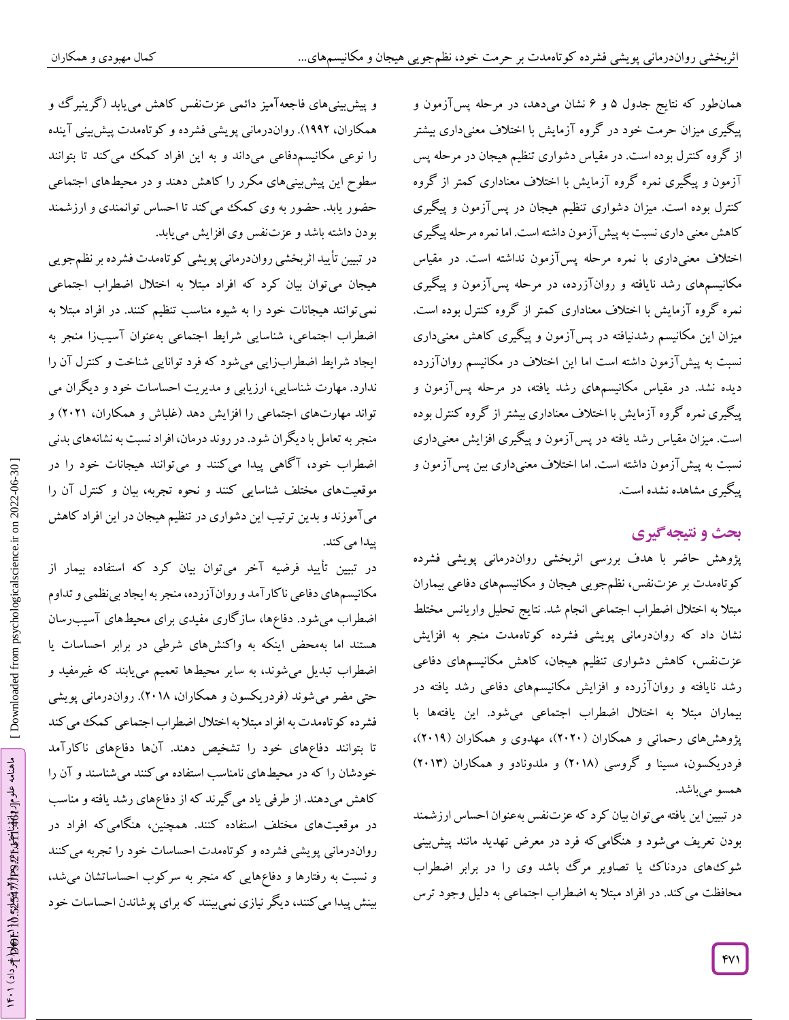همانطور که نتایج جدول ۵ و ۶ نشان میدهد، در مرحله پس[زمون و پیگیری میزان حرمت خود در کروه آزمایش با اختلاف معنیداری بیشتر از کروه کنترل بوده است. در مقیاس دشواری تنظیم هیجان در مرحله پس ازمون و پیکیری نمره کروه آزمایش با اختلاف معناداری کمتر از کروه کنترل بوده است. میزان دشواری تنظیم هیجان در پس ازمون و پیگیری کاهش معنی داری نسبت به پیش آزمون داشته است. اما نمره مرحله پیکیری اختلاف معنیداری با نمره مرحله پس[زمون نداشته است. در مقیاس مکانیسمهای رشد نایافته و روان1زرده، در مرحله پس[زمون و پیگیری نمره کروه آزمایش با اختلاف معناداری کمتر از کروه کنترل بوده است. میزان این مکانیسم رشدنیافته در پس ازمون و پیگیری کاهش معنیداری نسبت به پیش ازمون داشته است اما این اختلاف در مکانیسم روان۱ازرده دیده نشد. در مقیاس مکانیسمهای رشد یافته، در مرحله پسآزمون و پیگیری نمره کروه آزمایش با اختلاف معناداری بیشتر از کروه کنترل بوده است. میزان مقیاس رشد یافته در پس آزمون و پیگیری افزایش معنیداری نسبت به پیش ازمون داشته است. اما اختلاف معنیداری بین پس ازمون و پیکیری مشاهده نشده است.

# **ی نتیجهگیر بحث و**

پژوهش حاضر با هدف بررسی اثربخشی رواندرمانی پویشی فشرده کوتاهمدت بر عزتنفس، نظمجویی هیجان و مکانیسمهای دفاعی بیماران مبتال به اختالل اضطراب اجتماعی انجام شد. نتایج تحلیل واریانس مختلط نشان داد که رواندرمانی پویشی فشرده کوتاهمدت منجر به افزایش عزتنفس، کاهش دشواری تنظیم هیجان، کاهش مکانیسمهای دفاعی رشد نایافته و روانآزرده و افزایش مکانیسمهای دفاعی رشد یافته در بیماران مبتال به اختالل اضطراب اجتماعی میشود. این یافتهها با پژوهشهای رحمانی و همکاران (۲۰۲۰)، مهدوی و همکاران (۲۰۱۹)، فردریکسون، مسینا و گروسی (۲۰۱۸) و ملدونادو و همکاران (۲۰۱۳) همسو می باشد.

در تبیین این یافته میتوان بیان کرد که عزتنفس بهعنوان احساس ارزشمند بودن تعریف میشود و هنگامیکه فرد در معرض تهدید مانند پیشبینی شوکهای دردناک یا تصاویر مرگ باشد وی را در برابر اضطراب محافظت میکند. در افراد مبتال به اضطراب اجتماعی به دلیل وجود ترس

و پیش بینیهای فاجعهآمیز دائمی عزتنفس کاهش می یابد (گرینبرگ و همکاران، 1112(. رواندرمانی پویشی فشرده و کوتاهمدت پیشبینی آینده را نوعی مکانیسمدفاعی میداند و به این افراد کمک میکند تا بتوانند سطوح این پیشبینیهای مکرر را کاهش دهند و در محیطهای اجتماعی حضور یابد. حضور به وی کمک میکند تا احساس توانمندی و ارزشمند بودن داشته باشد و عزتنفس وی افزایش مییابد.

در تبیین تأیید اثربخشی رواندرمانی پویشی کوتاهمدت فشرده بر نظمجویی هیجان میتوان بیان کرد که افراد مبتال به اختالل اضطراب اجتماعی نمیتوانند هیجانات خود را به شیوه مناسب تنظیم کنند. در افراد مبتال به اضطراب اجتماعی، شناسایی شرایط اجتماعی بهعنوان آسیبزا منجر به اضطرابزایی میشود که فرد توانایی شناخت و کنترل آن را ایجاد شرایط ندارد. مهارت شناسایی، ارزیابی و مدیریت احساسات خود و دیگران می تواند مهارتهای اجتماعی را افزایش دهد (غلباش و همکاران، ۲۰۲۱) و منجر به تعامل با دیگران شود. در روند درمان، افرادنسبت به نشانههای بدنی اضطراب خود، آگاهی پیدا میکنند و میتوانند هیجانات خود را در موقعیتهای مختلف شناسایی کنند و نحوه تجربه، بیان و کنترل آن را میآموزند و بدین ترتیب این دشواری در تنظیم هیجان در این افراد کاهش<br>پیدا میکند.

در تبیین تأیید فرضیه آخر میتوان بیان کرد که استفاده بیمار از مکانیسمهای دفاعی ناکارآمد و روانآزرده، منجر به ایجاد بینظمی و تداوم اضطراب میشود. دفاعها، سازگاری مفیدی برای محیطهای آسیبرسان هستند اما بهمحض اینکه به واکنشهای شرطی در برابر احساسات یا اضطراب تبدیل میشوند، به سایر محیطها تعمیم مییابند که غیرمفید و حتی مضر میشوند )فردریکسون و همکاران، 2412(. رواندرمانی پویشی فشرده کوتاهمدت به افراد مبتال به اختالل اضطراب اجتماعی کمک میکند تا بتوانند دفاعهای خود را تشخیص دهند. آنها دفاعهای ناکارآمد خودشان را که در محیطهای نامناسب استفاده میکنند میشناسند و آن را کاهش میدهند. از طرفی یاد میگیرند که از دفاعهای رشد یافته و مناسب در موقعیتهای مختلف استفاده کنند. همچنین، هنگامیکه افراد در رواندرمانی پویشی فشرده و کوتاهمدت احساسات خود را تجربه میکنند و نسبت به رفتارها و دفاعهایی که منجر به سرکوب احساساتشان میشد، بینش پیدا میکنند، دیگر نیازی نمیبینند که برای پوشاندن احساسات خود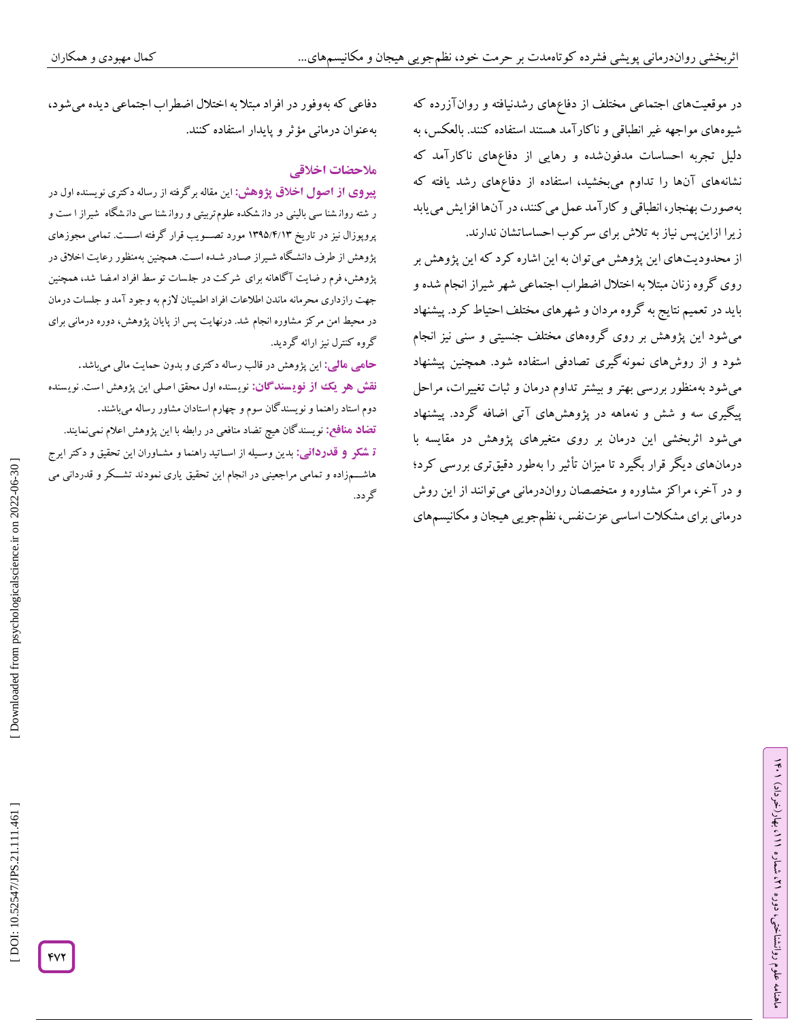در موقعیتهای اجتماعی مختلف از دفاعهای رشدنیافته و روانآزرده که شیوههای مواجهه غیر انطباقی و ناکارآمد هستند استفاده کنند. بالعکس، به دلیل تجربه احساسات مدفونشده و رهایی از دفاعهای ناکارآمد که نشانههای آنها را تداوم میبخشید، استفاده از دفاعهای رشد یافته که بهصورت بهنجار، انطباقی و کارآمد عمل میکنند، در آنها افزایش مییابد زیرا ازاینپس نیاز به تالش برای سرکوب احساساتشان ندارند.

از محدودیتهای این پژوهش میتوان به این اشاره کرد که این پژوهش بر روی گروه زنان مبتال به اختالل اضطراب اجتماعی شهر شیراز انجام شده و باید در تعمیم نتایج به گروه مردان و شهرهای مختلف احتیاط کرد. پیشنهاد میشود این پژوهش بر روی گروههای مختلف جنسیتی و سنی نیز انجام شود و از روشهای نمونهگیری تصادفی استفاده شود. همچنین پیشنهاد میشود بهمنظور بررسی بهتر و بیشتر تداوم درمان و ثبات تغییرات، مراحل پیگیری سه و شش و نهماهه در پژوهشهای آتی اضافه کردد. پیشنهاد میشود اثربخشی این درمان بر روی متغیرهای پژوهش در مقایسه با درمانهای دیگر قرار بگیرد تا میزان تأثیر را بهطور دقیقتری بررسی کرد؛ در آخر، مراکز مشاوره و متخصصان رواندرمانی میتوانند از این روش و درمانی برای مشکالت اساسی عزتنفس، نظمجویی هیجان و مکانیسمهای

دفاعی که بهوفور در افراد مبتلا به اختلال اضطراب اجتماعی دیده میشود،<br>بهعنوان درمانی مؤثر و پایدار استفاده کنند.<br>هل<del>احض**ات اخ**لاق</del>ی

این مقاله برگرفته از رساله دکتری نویسنده اول در **از اصول اخالق پژوهش: پیروی** ر شته روان شنا سی بالینی در دان شکده علوم تربیتی و روان شنا سی دان شگاه شیراز ا ست و پروپوزال نیز در تاریخ ۱۳۹۵/۲/۱۳ مورد تصـــویب قرار کرفته اســـت. تمامی مجوزهای پژوهش از طرف دانشگاه شـیراز صـادر شـده اسـت. همچنین بهمنظور رعایت اخلاق در پژوهش، فرم ر ضایت ۱ کاهانه برای شر کت در جلسات تو سط افراد امضا شد، همچنین جهت رازداری محرمانه ماندن اطلاعات افراد اطمینان لازم به وجود آمد و جلسات درمان در محیط امن مر کز مشاوره انجام شد. درنهایت پس از پایان پژوهش، دوره درمانی برای<br>گروه کنترل نیز ارائه گردید.

این پژوهش در قالب رساله دکتری و بدون حمایت مالی میباشد. **: مالی حامی نقش هو یک از نویسندگان:** نویسنده اول محقق اصلی این پژوهش است. نویسنده دوم استاد راهنما و نویسندگان سوم و چهارم استادان مشاور رساله می<sub>ن</sub>اشند.<br><mark>تضاد منافع:</mark> نویسندگان هیچ تضاد منافعی در رابطه با این پژوهش اعلام نمی نمایند. ق **شکر و فدردانی:** بدین وسـیله از اسـاتید راهنما و مشـاوران این تحقیق و دکتر ایرج

هاشــــمزاده و تمامی مراجعینی در انجام این تحقیق یاری نمودند تشـــکر و قدردانی می<br>گردد.

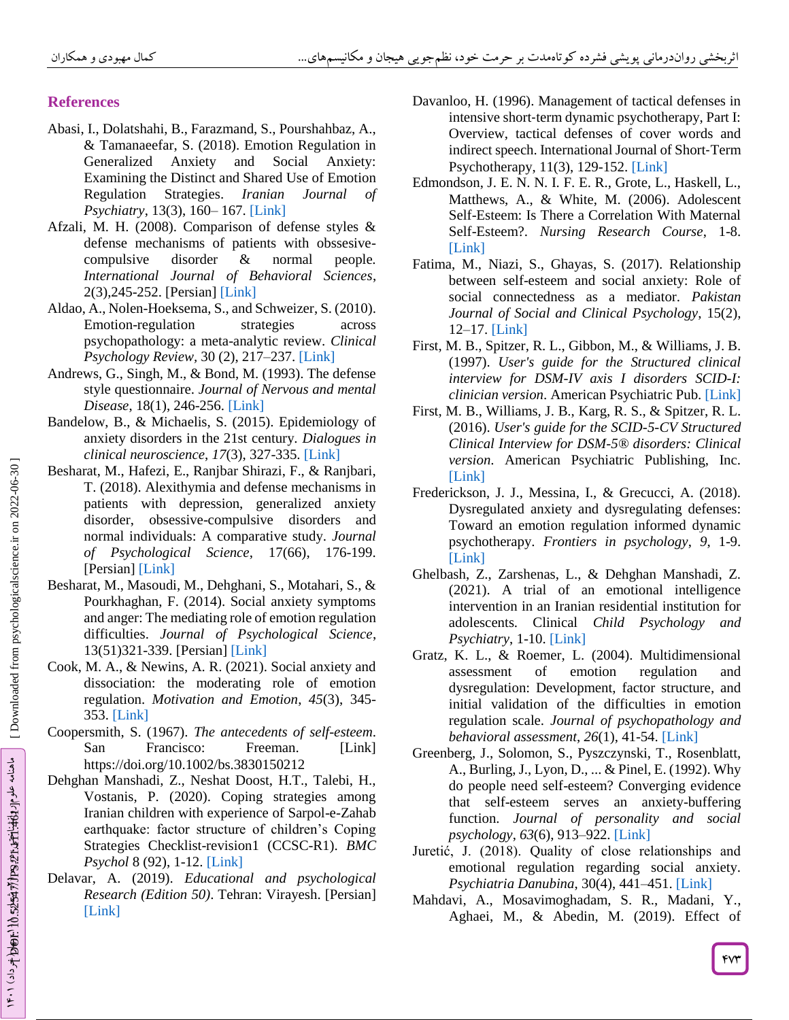# **References**

- Abasi, I., Dolatshahi, B., Farazmand, S., Pourshahbaz, A., & Tamanaeefar, S. (2018). Emotion Regulation in Generalized Anxiety and Social Anxiety: Examining the Distinct and Shared Use of Emotion Regulation Strategies. *Iranian Journal of Psychiatry*, 13(3), 160 – 167. [\[Link\]](https://www.ncbi.nlm.nih.gov/pmc/articles/PMC6178328/)
- Afzali, M. H. (2008). Comparison of defense styles & defense mechanisms of patients with obssesive compulsive disorder & normal people*. International Journal of Behavioral Sciences*, 2(3),245-252. [Persian] [\[Link\]](http://www.behavsci.ir/article_67600.html)
- Aldao, A., Nolen -Hoeksema, S., and Schweizer, S. (2010). Emotion -regulation strategies across psychopathology: a meta -analytic review. *Clinical Psychology Review,* 30 (2), 217 –237. [\[Link\]](https://doi.org/10.1016/j.cpr.2009.11.004)
- Andrews, G., Singh, M., & Bond, M. (1993). The defense style questionnaire. *Journal of Nervous and mental Disease*, 18(1), 246 -256. [\[Link\]](https://doi.org/10.1097/00005053-199304000-00006)
- Bandelow, B., & Michaelis, S. (2015). Epidemiology of anxiety disorders in the 21st century. *Dialogues in clinical neuroscience* , *17*(3), 327 -335. [\[Link\]](https://doi.org/10.31887/DCNS.2015.17.3/bbandelow)
- Besharat, M., Hafezi, E., Ranjbar Shirazi, F., & Ranjbari, T. (2018). Alexithymia and defense mechanisms in patients with depression, generalized anxiety disorder, obsessive -compulsive disorders and normal individuals: A comparative study. *Journal of Psychological Science*, 17(66), 176 -199. [Persian] [\[Link\]](http://psychologicalscience.ir/article-۱-۱۱۵-fa.html)
- Besharat, M., Masoudi, M., Dehghani, S., Motahari, S., & Pourkhaghan, F. (2014). Social anxiety symptoms and anger: The mediating role of emotion regulation difficulties. *Journal of Psychological Science*, 13(51)321 -339. [Persian] [\[Link\]](http://psychologicalscience.ir/article-۱-۳۸۶-fa.html)
- Cook, M. A., & Newins, A. R. (2021). Social anxiety and dissociation: the moderating role of emotion regulation. *Motivation and Emotion* , *45*(3), 345 - 353. [\[Link\]](https://doi.org/10.1007/s11031-021-09875-5)
- Coopersmith, S. (1967). *The antecedents of self-esteem* . San Francisco: Freeman. [\[Link\]](https://doi.org/10.1097/00005053-199304000-00006) https://doi.org/10.1002/bs.3830150212
- Dehghan Manshadi, Z., Neshat Doost, H.T., Talebi, H., Vostanis, P. (2020). Coping strategies among Iranian children with experience of Sarpol-e-Zahab earthquake: factor structure of children's Coping Strategies Checklist-revision1 (CCSC-R1). *BMC Psychol* 8 (92), 1 -12. [\[Link\]](https://doi.org/10.1186/s40359-020-00456-8)
- Delavar, A. (2019). *Educational and psychological Research (Edition 50)*. Tehran: Virayesh. [Persian] [\[Link\]](https://www.gisoom.com/book/11547311/کتاب-روش-تحقیق-در-روان-شناسی-و-علوم-تربیتی)
- Davanloo, H. (1996). Management of tactical defenses in intensive short ‐term dynamic psychotherapy, Part I: Overview, tactical defenses of cover words and indirect speech. International Journal of Short ‐Term Psychotherapy, 11(3), 129-152. [\[Link\]](https://doi.org/10.1002/\(SICI\)1522-7170\(199609\)11:3%3c129::AID-SHO120%3e3.0.CO;2-7)
- Edmondson, J. E. N. N. I. F. E. R., Grote, L., Haskell, L., Matthews, A., & White, M. (2006). Adolescent Self-Esteem: Is There a Correlation With Maternal Self-Esteem?. *Nursing Research Course*, 1 -8. [\[Link\]](https://www.lagrange.edu/resources/pdf/citations/nursing/Adolescent%20Self-Esteem.pdf)
- Fatima, M., Niazi, S., Ghayas, S. (2017). Relationship between self-esteem and social anxiety: Role of social connectedness as a mediator. *Pakistan Journal of Social and Clinical Psychology*, 15(2), 12 –17. [\[Link\]](https://www.proquest.com/openview/9f8d8106b8c8eb4b335c1c5fc94de9f8/1?pq-origsite=gscholar&cbl=276272)
- First, M. B., Spitzer, R. L., Gibbon, M., & Williams, J. B. (1997). *User's guide for the Structured clinical interview for DSM -IV axis I disorders SCID -I: clinician version*. American Psychiatric Pub. [\[Link\]](https://www.amazon.com/Structured-Clinical-Interview-Dsm-IV-Disorders/dp/0880489316)
- First, M. B., Williams, J. B., Karg, R. S., & Spitzer, R. L. (2016). *User's guide for the SCID - 5 -CV Structured Clinical Interview for DSM -5® disorders: Clinical version*. American Psychiatric Publishing, Inc. [\[Link\]](https://www.amazon.com/Structured-Clinical-Interview-Disorders-Scid-5-cv/dp/1585625248)
- Frederickson, J. J., Messina, I., & Grecucci, A. (2018). Dysregulated anxiety and dysregulating defenses: Toward an emotion regulation informed dynamic psychotherapy. *Frontiers in psychology* , *9*, 1 -9. [\[Link\]](https://doi.org/10.3389/fpsyg.2018.02054)
- Ghelbash, Z., Zarshenas, L., & Dehghan Manshadi, Z. (2021). A trial of an emotional intelligence intervention in an Iranian residential institution for adolescents. Clinical *Child Psychology and Psychiatry*, 1 -10. [\[Link\]](https://doi.org/10.1177/13591045211009593)
- Gratz, K. L., & Roemer, L. (2004). Multidimensional assessment of emotion regulation and dysregulation: Development, factor structure, and initial validation of the difficulties in emotion regulation scale. *Journal of psychopathology and behavioral assessment* , *26*(1), 41 -54[. \[Link\]](https://doi.org/10.1023/B:JOBA.0000007455.08539.94)
- Greenberg, J., Solomon, S., Pyszczynski, T., Rosenblatt, A., Burling, J., Lyon, D., ... & Pinel, E. (1992). Why do people need self-esteem? Converging evidence that self-esteem serves an anxiety -buffering function. *Journal of personality and social psychology* , *63*(6), 913 –922. [\[Link\]](https://doi.org/10.1037/0022-3514.63.6.913)
- Juretić, J. (2018). Quality of close relationships and emotional regulation regarding social anxiety. *Psychiatria Danubina*, 30(4), 441 –451[. \[Link\]](https://doi.org/10.24869/psyd.2018.441)
- Mahdavi, A., Mosavimoghadam, S. R., Madani, Y., Aghaei, M., & Abedin, M. (2019). Effect of